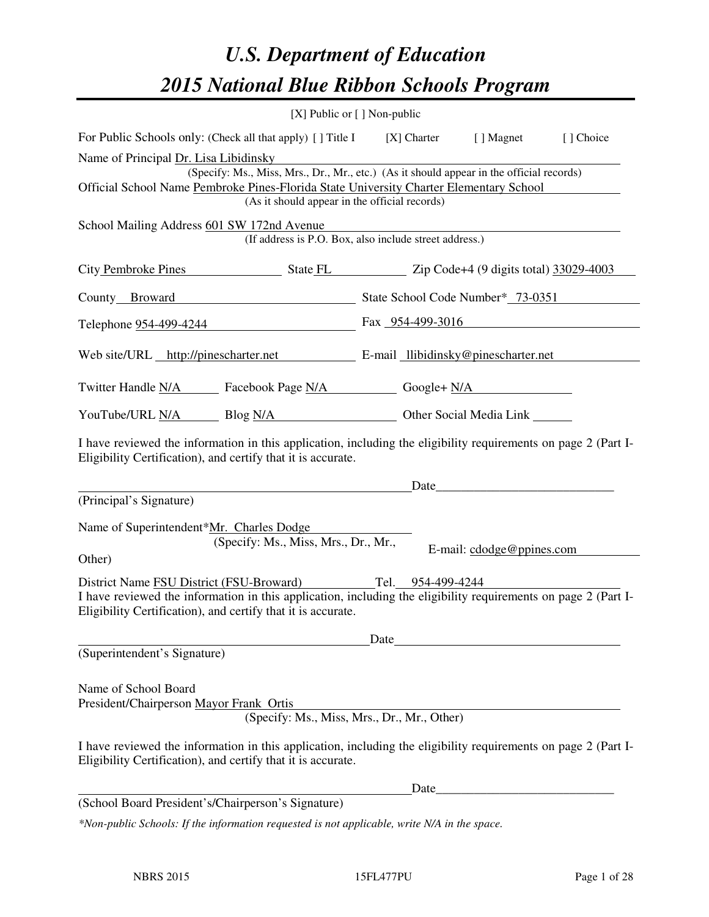# *U.S. Department of Education 2015 National Blue Ribbon Schools Program*

|                                                                                                                                                                                    | [X] Public or $[$ ] Non-public       |                                                        |                           |           |
|------------------------------------------------------------------------------------------------------------------------------------------------------------------------------------|--------------------------------------|--------------------------------------------------------|---------------------------|-----------|
| For Public Schools only: (Check all that apply) [] Title I                                                                                                                         |                                      | [X] Charter                                            | [ ] Magnet                | [] Choice |
| Name of Principal Dr. Lisa Libidinsky                                                                                                                                              |                                      |                                                        |                           |           |
| (Specify: Ms., Miss, Mrs., Dr., Mr., etc.) (As it should appear in the official records)<br>Official School Name Pembroke Pines-Florida State University Charter Elementary School |                                      |                                                        |                           |           |
|                                                                                                                                                                                    |                                      | (As it should appear in the official records)          |                           |           |
| School Mailing Address 601 SW 172nd Avenue                                                                                                                                         |                                      |                                                        |                           |           |
|                                                                                                                                                                                    |                                      | (If address is P.O. Box, also include street address.) |                           |           |
| City Pembroke Pines State FL Zip Code+4 (9 digits total) 33029-4003                                                                                                                |                                      |                                                        |                           |           |
| County <b>_Broward</b> State School Code Number <sup>*</sup> 73-0351                                                                                                               |                                      |                                                        |                           |           |
| Telephone <u>954-499-4244</u> Fax 954-499-3016                                                                                                                                     |                                      |                                                        |                           |           |
| Web site/URL http://pinescharter.net E-mail llibidinsky@pinescharter.net                                                                                                           |                                      |                                                        |                           |           |
| Twitter Handle <u>N/A</u> Facebook Page N/A Google+ N/A                                                                                                                            |                                      |                                                        |                           |           |
| YouTube/URL N/A Blog N/A Other Social Media Link                                                                                                                                   |                                      |                                                        |                           |           |
| I have reviewed the information in this application, including the eligibility requirements on page 2 (Part I-<br>Eligibility Certification), and certify that it is accurate.     |                                      |                                                        |                           |           |
|                                                                                                                                                                                    |                                      |                                                        | Date <u>Date</u>          |           |
| (Principal's Signature)                                                                                                                                                            |                                      |                                                        |                           |           |
| Name of Superintendent*Mr. Charles Dodge                                                                                                                                           |                                      |                                                        |                           |           |
|                                                                                                                                                                                    | (Specify: Ms., Miss, Mrs., Dr., Mr., |                                                        | E-mail: cdodge@ppines.com |           |
| Other)                                                                                                                                                                             |                                      |                                                        |                           |           |
| District Name <b>FSU</b> District (FSU-Broward)                                                                                                                                    |                                      | Tel. 954-499-4244                                      |                           |           |
| I have reviewed the information in this application, including the eligibility requirements on page 2 (Part I-<br>Eligibility Certification), and certify that it is accurate.     |                                      |                                                        |                           |           |
|                                                                                                                                                                                    |                                      | Date                                                   |                           |           |
| (Superintendent's Signature)                                                                                                                                                       |                                      |                                                        |                           |           |
| Name of School Board                                                                                                                                                               |                                      |                                                        |                           |           |
| President/Chairperson Mayor Frank Ortis                                                                                                                                            |                                      | (Specify: Ms., Miss, Mrs., Dr., Mr., Other)            |                           |           |
| I have reviewed the information in this application, including the eligibility requirements on page 2 (Part I-<br>Eligibility Certification), and certify that it is accurate.     |                                      |                                                        |                           |           |
|                                                                                                                                                                                    |                                      |                                                        | Date                      |           |
| (School Board President's/Chairperson's Signature)                                                                                                                                 |                                      |                                                        |                           |           |
| *Non-public Schools: If the information requested is not applicable, write N/A in the space.                                                                                       |                                      |                                                        |                           |           |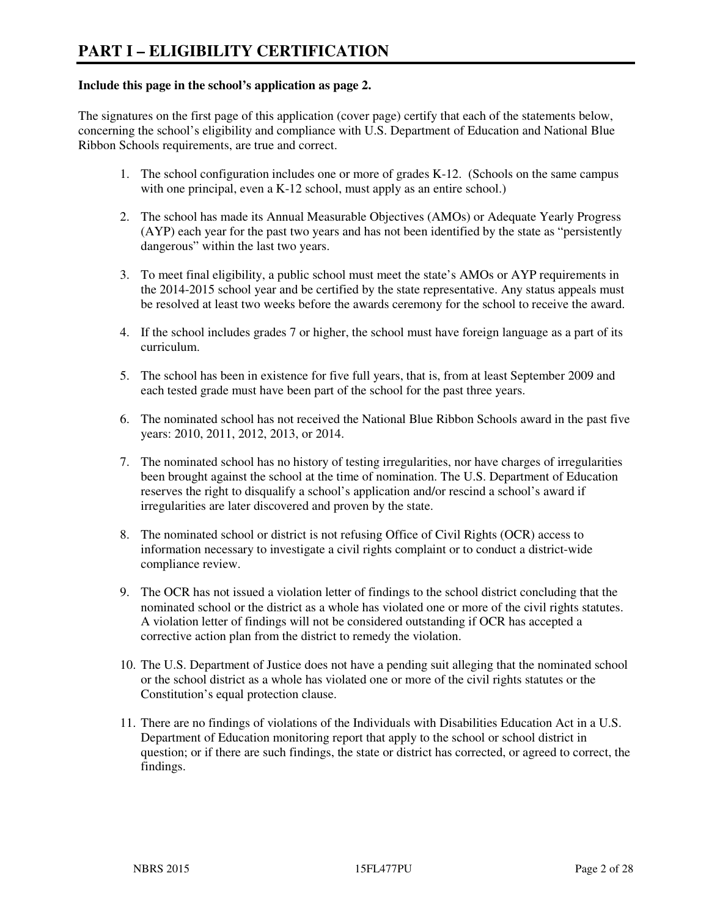#### **Include this page in the school's application as page 2.**

The signatures on the first page of this application (cover page) certify that each of the statements below, concerning the school's eligibility and compliance with U.S. Department of Education and National Blue Ribbon Schools requirements, are true and correct.

- 1. The school configuration includes one or more of grades K-12. (Schools on the same campus with one principal, even a K-12 school, must apply as an entire school.)
- 2. The school has made its Annual Measurable Objectives (AMOs) or Adequate Yearly Progress (AYP) each year for the past two years and has not been identified by the state as "persistently dangerous" within the last two years.
- 3. To meet final eligibility, a public school must meet the state's AMOs or AYP requirements in the 2014-2015 school year and be certified by the state representative. Any status appeals must be resolved at least two weeks before the awards ceremony for the school to receive the award.
- 4. If the school includes grades 7 or higher, the school must have foreign language as a part of its curriculum.
- 5. The school has been in existence for five full years, that is, from at least September 2009 and each tested grade must have been part of the school for the past three years.
- 6. The nominated school has not received the National Blue Ribbon Schools award in the past five years: 2010, 2011, 2012, 2013, or 2014.
- 7. The nominated school has no history of testing irregularities, nor have charges of irregularities been brought against the school at the time of nomination. The U.S. Department of Education reserves the right to disqualify a school's application and/or rescind a school's award if irregularities are later discovered and proven by the state.
- 8. The nominated school or district is not refusing Office of Civil Rights (OCR) access to information necessary to investigate a civil rights complaint or to conduct a district-wide compliance review.
- 9. The OCR has not issued a violation letter of findings to the school district concluding that the nominated school or the district as a whole has violated one or more of the civil rights statutes. A violation letter of findings will not be considered outstanding if OCR has accepted a corrective action plan from the district to remedy the violation.
- 10. The U.S. Department of Justice does not have a pending suit alleging that the nominated school or the school district as a whole has violated one or more of the civil rights statutes or the Constitution's equal protection clause.
- 11. There are no findings of violations of the Individuals with Disabilities Education Act in a U.S. Department of Education monitoring report that apply to the school or school district in question; or if there are such findings, the state or district has corrected, or agreed to correct, the findings.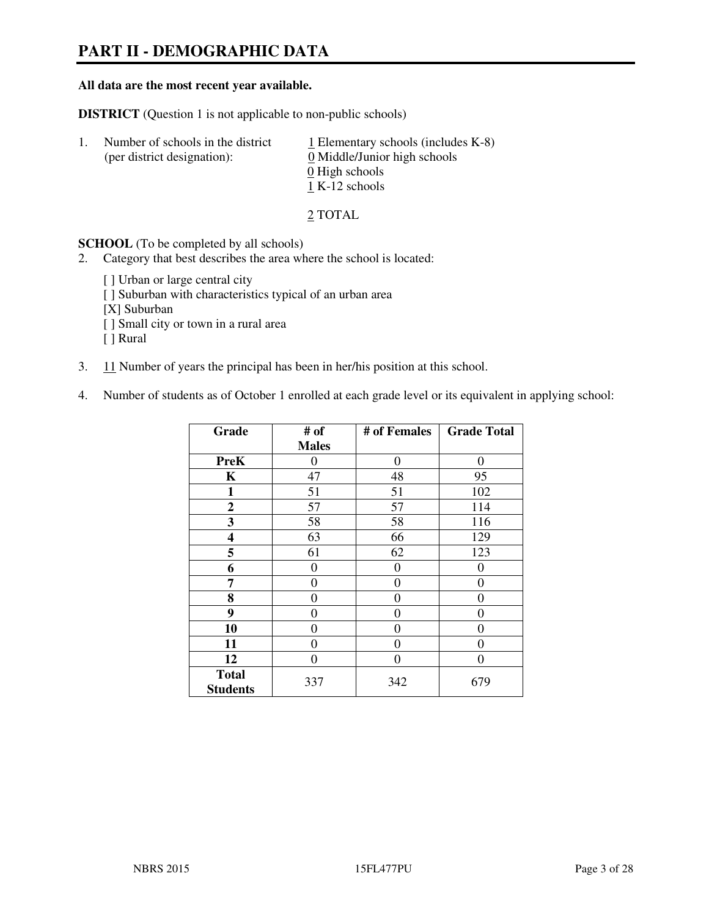# **PART II - DEMOGRAPHIC DATA**

#### **All data are the most recent year available.**

**DISTRICT** (Question 1 is not applicable to non-public schools)

| -1. | Number of schools in the district<br>(per district designation): | $\perp$ Elementary schools (includes K-8)<br>0 Middle/Junior high schools<br>0 High schools<br>$1 K-12$ schools |
|-----|------------------------------------------------------------------|-----------------------------------------------------------------------------------------------------------------|
|     |                                                                  |                                                                                                                 |

2 TOTAL

**SCHOOL** (To be completed by all schools)

- 2. Category that best describes the area where the school is located:
	- [ ] Urban or large central city
	- [ ] Suburban with characteristics typical of an urban area
	- [X] Suburban
	- [ ] Small city or town in a rural area
	- [ ] Rural
- 3. 11 Number of years the principal has been in her/his position at this school.
- 4. Number of students as of October 1 enrolled at each grade level or its equivalent in applying school:

| Grade                           | # of         | # of Females | <b>Grade Total</b> |
|---------------------------------|--------------|--------------|--------------------|
|                                 | <b>Males</b> |              |                    |
| <b>PreK</b>                     | 0            | 0            | $\theta$           |
| K                               | 47           | 48           | 95                 |
| 1                               | 51           | 51           | 102                |
| $\mathbf{2}$                    | 57           | 57           | 114                |
| 3                               | 58           | 58           | 116                |
| 4                               | 63           | 66           | 129                |
| 5                               | 61           | 62           | 123                |
| 6                               | 0            | 0            | $\Omega$           |
| 7                               | 0            | $\theta$     | 0                  |
| 8                               | 0            | 0            | 0                  |
| 9                               | 0            | $\theta$     | 0                  |
| 10                              | 0            | 0            | 0                  |
| 11                              | 0            | 0            | 0                  |
| 12                              | 0            | 0            | 0                  |
| <b>Total</b><br><b>Students</b> | 337          | 342          | 679                |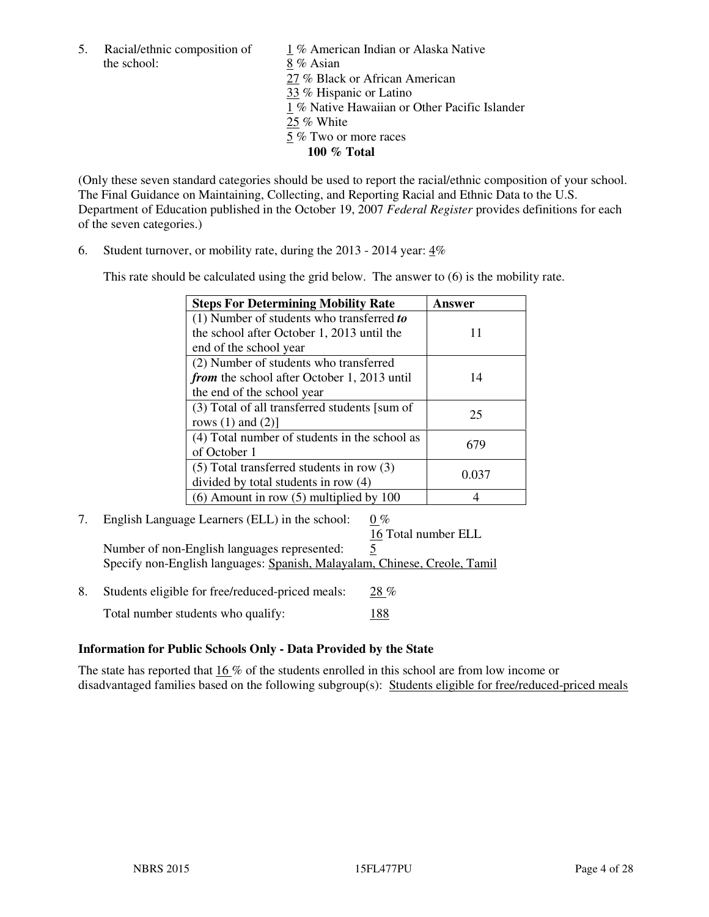the school: 8 % Asian

5. Racial/ethnic composition of  $1\%$  American Indian or Alaska Native 27 % Black or African American 33 % Hispanic or Latino 1 % Native Hawaiian or Other Pacific Islander 25 % White 5 % Two or more races **100 % Total** 

(Only these seven standard categories should be used to report the racial/ethnic composition of your school. The Final Guidance on Maintaining, Collecting, and Reporting Racial and Ethnic Data to the U.S. Department of Education published in the October 19, 2007 *Federal Register* provides definitions for each of the seven categories.)

6. Student turnover, or mobility rate, during the 2013 - 2014 year: 4%

This rate should be calculated using the grid below. The answer to (6) is the mobility rate.

| <b>Steps For Determining Mobility Rate</b>         | Answer |
|----------------------------------------------------|--------|
| $(1)$ Number of students who transferred to        |        |
| the school after October 1, 2013 until the         | 11     |
| end of the school year                             |        |
| (2) Number of students who transferred             |        |
| <i>from</i> the school after October 1, 2013 until | 14     |
| the end of the school year                         |        |
| (3) Total of all transferred students [sum of      | 25     |
| rows $(1)$ and $(2)$ ]                             |        |
| (4) Total number of students in the school as      | 679    |
| of October 1                                       |        |
| $(5)$ Total transferred students in row $(3)$      | 0.037  |
| divided by total students in row (4)               |        |
| $(6)$ Amount in row $(5)$ multiplied by 100        |        |

7. English Language Learners (ELL) in the school: 0 %

 16 Total number ELL Number of non-English languages represented: 5 Specify non-English languages: Spanish, Malayalam, Chinese, Creole, Tamil

8. Students eligible for free/reduced-priced meals: 28 % Total number students who qualify: 188

#### **Information for Public Schools Only - Data Provided by the State**

The state has reported that 16 % of the students enrolled in this school are from low income or disadvantaged families based on the following subgroup(s): Students eligible for free/reduced-priced meals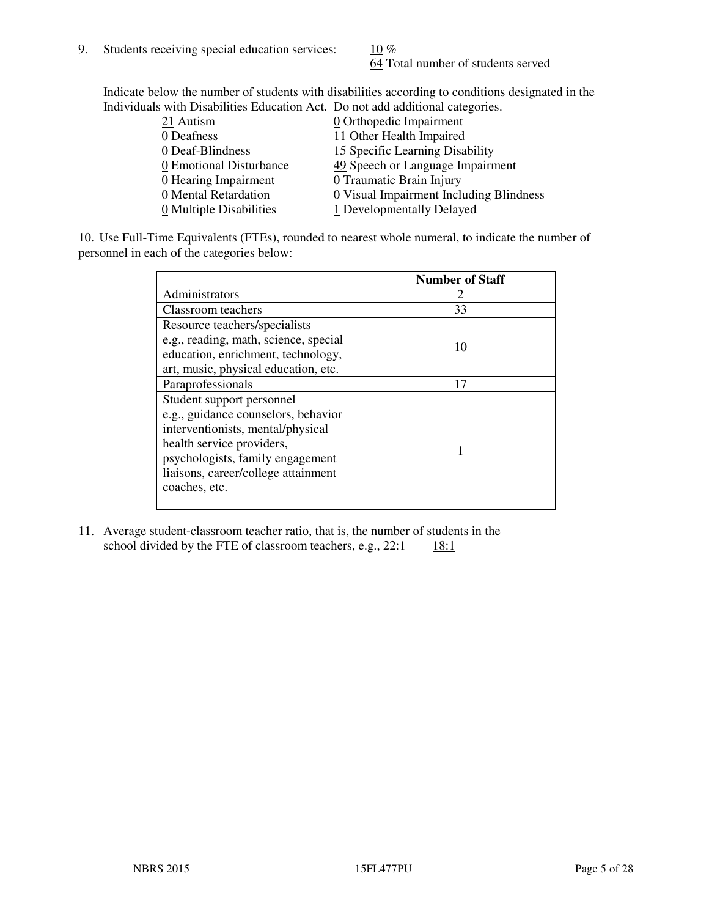64 Total number of students served

Indicate below the number of students with disabilities according to conditions designated in the Individuals with Disabilities Education Act. Do not add additional categories.

| <u>marritano with Disachitity Buatanon ritti Do not auu auunchai talegorito.</u> |                                         |
|----------------------------------------------------------------------------------|-----------------------------------------|
| $21$ Autism                                                                      | $\underline{0}$ Orthopedic Impairment   |
| 0 Deafness                                                                       | 11 Other Health Impaired                |
| 0 Deaf-Blindness                                                                 | 15 Specific Learning Disability         |
| 0 Emotional Disturbance                                                          | 49 Speech or Language Impairment        |
| $\underline{0}$ Hearing Impairment                                               | 0 Traumatic Brain Injury                |
| 0 Mental Retardation                                                             | 0 Visual Impairment Including Blindness |
| 0 Multiple Disabilities                                                          | 1 Developmentally Delayed               |
|                                                                                  |                                         |

10. Use Full-Time Equivalents (FTEs), rounded to nearest whole numeral, to indicate the number of personnel in each of the categories below:

|                                       | <b>Number of Staff</b> |
|---------------------------------------|------------------------|
| Administrators                        |                        |
| Classroom teachers                    | 33                     |
| Resource teachers/specialists         |                        |
| e.g., reading, math, science, special | 10                     |
| education, enrichment, technology,    |                        |
| art, music, physical education, etc.  |                        |
| Paraprofessionals                     | 17                     |
| Student support personnel             |                        |
| e.g., guidance counselors, behavior   |                        |
| interventionists, mental/physical     |                        |
| health service providers,             |                        |
| psychologists, family engagement      |                        |
| liaisons, career/college attainment   |                        |
| coaches, etc.                         |                        |
|                                       |                        |

11. Average student-classroom teacher ratio, that is, the number of students in the school divided by the FTE of classroom teachers, e.g.,  $22:1$  18:1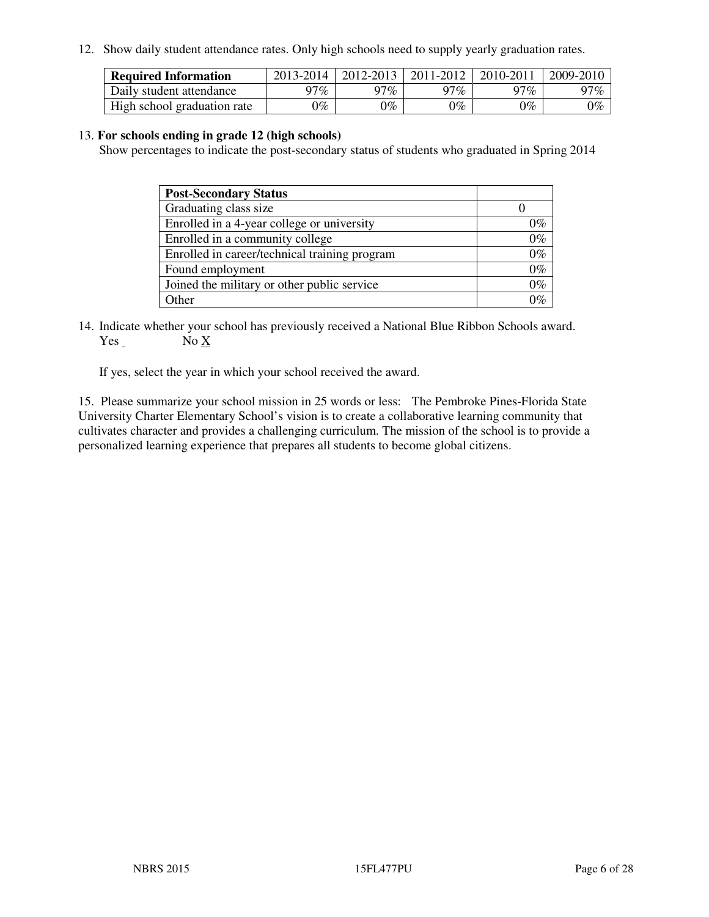12. Show daily student attendance rates. Only high schools need to supply yearly graduation rates.

| <b>Required Information</b> | 2013-2014 | 2012-2013 | 2011-2012 | 2010-2011 | 2009-2010 |
|-----------------------------|-----------|-----------|-----------|-----------|-----------|
| Daily student attendance    | $77\%$    | 97%       | 97%       | $77\%$    | 97%       |
| High school graduation rate | 9%        | $0\%$     | $0\%$     | 0%        | $0\%$     |

#### 13. **For schools ending in grade 12 (high schools)**

Show percentages to indicate the post-secondary status of students who graduated in Spring 2014

| <b>Post-Secondary Status</b>                  |       |
|-----------------------------------------------|-------|
| Graduating class size                         |       |
| Enrolled in a 4-year college or university    | 0%    |
| Enrolled in a community college               | $0\%$ |
| Enrolled in career/technical training program | $0\%$ |
| Found employment                              | $0\%$ |
| Joined the military or other public service   | $0\%$ |
| Other                                         | ነር    |

14. Indicate whether your school has previously received a National Blue Ribbon Schools award. Yes No X

If yes, select the year in which your school received the award.

15. Please summarize your school mission in 25 words or less: The Pembroke Pines-Florida State University Charter Elementary School's vision is to create a collaborative learning community that cultivates character and provides a challenging curriculum. The mission of the school is to provide a personalized learning experience that prepares all students to become global citizens.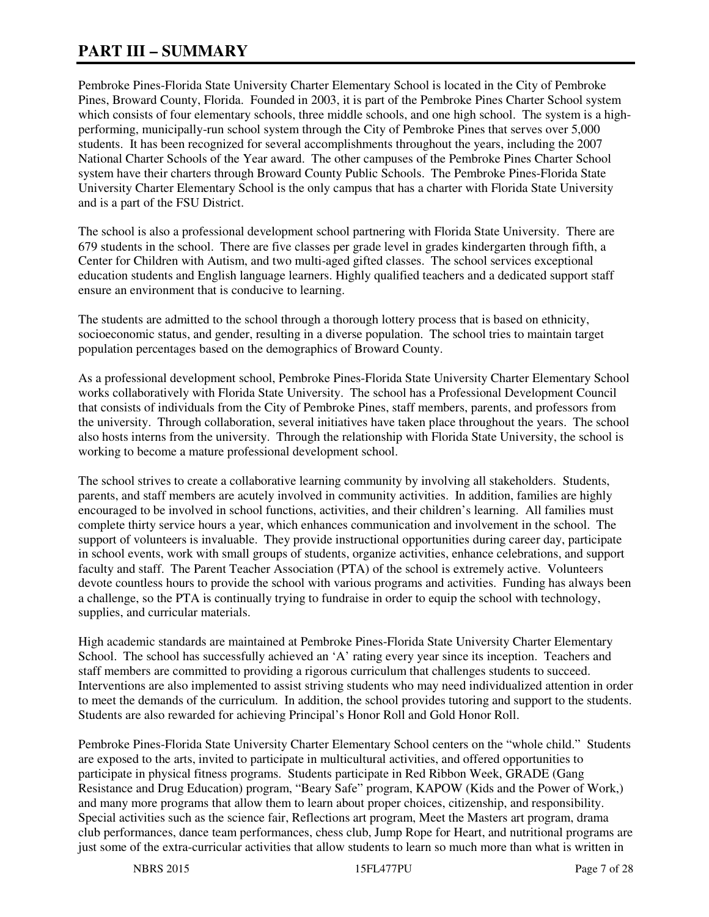# **PART III – SUMMARY**

Pembroke Pines-Florida State University Charter Elementary School is located in the City of Pembroke Pines, Broward County, Florida. Founded in 2003, it is part of the Pembroke Pines Charter School system which consists of four elementary schools, three middle schools, and one high school. The system is a highperforming, municipally-run school system through the City of Pembroke Pines that serves over 5,000 students. It has been recognized for several accomplishments throughout the years, including the 2007 National Charter Schools of the Year award. The other campuses of the Pembroke Pines Charter School system have their charters through Broward County Public Schools. The Pembroke Pines-Florida State University Charter Elementary School is the only campus that has a charter with Florida State University and is a part of the FSU District.

The school is also a professional development school partnering with Florida State University. There are 679 students in the school. There are five classes per grade level in grades kindergarten through fifth, a Center for Children with Autism, and two multi-aged gifted classes. The school services exceptional education students and English language learners. Highly qualified teachers and a dedicated support staff ensure an environment that is conducive to learning.

The students are admitted to the school through a thorough lottery process that is based on ethnicity, socioeconomic status, and gender, resulting in a diverse population. The school tries to maintain target population percentages based on the demographics of Broward County.

As a professional development school, Pembroke Pines-Florida State University Charter Elementary School works collaboratively with Florida State University. The school has a Professional Development Council that consists of individuals from the City of Pembroke Pines, staff members, parents, and professors from the university. Through collaboration, several initiatives have taken place throughout the years. The school also hosts interns from the university. Through the relationship with Florida State University, the school is working to become a mature professional development school.

The school strives to create a collaborative learning community by involving all stakeholders. Students, parents, and staff members are acutely involved in community activities. In addition, families are highly encouraged to be involved in school functions, activities, and their children's learning. All families must complete thirty service hours a year, which enhances communication and involvement in the school. The support of volunteers is invaluable. They provide instructional opportunities during career day, participate in school events, work with small groups of students, organize activities, enhance celebrations, and support faculty and staff. The Parent Teacher Association (PTA) of the school is extremely active. Volunteers devote countless hours to provide the school with various programs and activities. Funding has always been a challenge, so the PTA is continually trying to fundraise in order to equip the school with technology, supplies, and curricular materials.

High academic standards are maintained at Pembroke Pines-Florida State University Charter Elementary School. The school has successfully achieved an 'A' rating every year since its inception. Teachers and staff members are committed to providing a rigorous curriculum that challenges students to succeed. Interventions are also implemented to assist striving students who may need individualized attention in order to meet the demands of the curriculum. In addition, the school provides tutoring and support to the students. Students are also rewarded for achieving Principal's Honor Roll and Gold Honor Roll.

Pembroke Pines-Florida State University Charter Elementary School centers on the "whole child." Students are exposed to the arts, invited to participate in multicultural activities, and offered opportunities to participate in physical fitness programs. Students participate in Red Ribbon Week, GRADE (Gang Resistance and Drug Education) program, "Beary Safe" program, KAPOW (Kids and the Power of Work,) and many more programs that allow them to learn about proper choices, citizenship, and responsibility. Special activities such as the science fair, Reflections art program, Meet the Masters art program, drama club performances, dance team performances, chess club, Jump Rope for Heart, and nutritional programs are just some of the extra-curricular activities that allow students to learn so much more than what is written in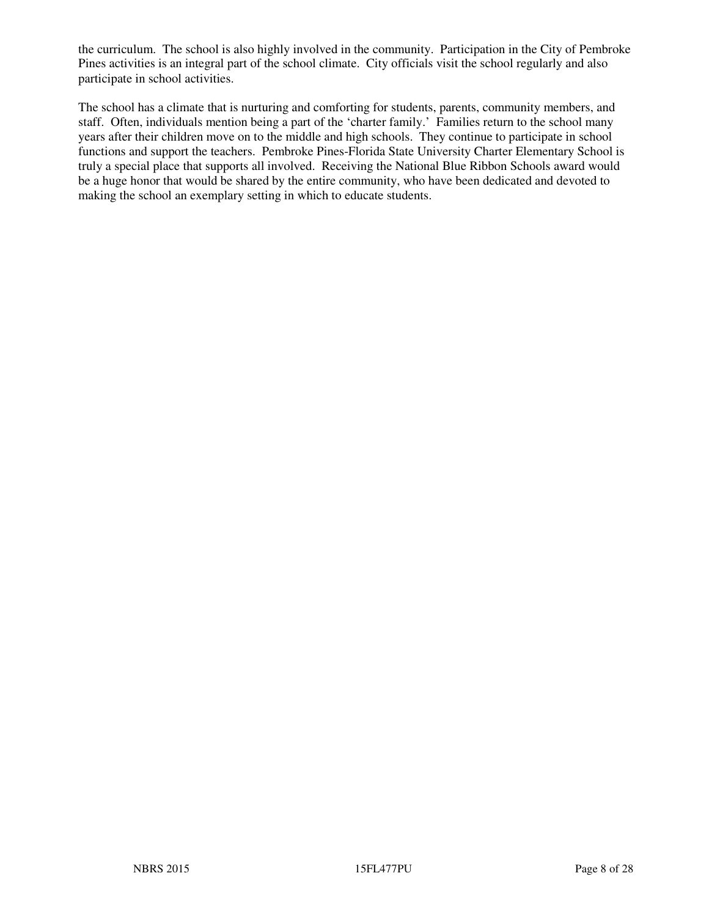the curriculum. The school is also highly involved in the community. Participation in the City of Pembroke Pines activities is an integral part of the school climate. City officials visit the school regularly and also participate in school activities.

The school has a climate that is nurturing and comforting for students, parents, community members, and staff. Often, individuals mention being a part of the 'charter family.' Families return to the school many years after their children move on to the middle and high schools. They continue to participate in school functions and support the teachers. Pembroke Pines-Florida State University Charter Elementary School is truly a special place that supports all involved. Receiving the National Blue Ribbon Schools award would be a huge honor that would be shared by the entire community, who have been dedicated and devoted to making the school an exemplary setting in which to educate students.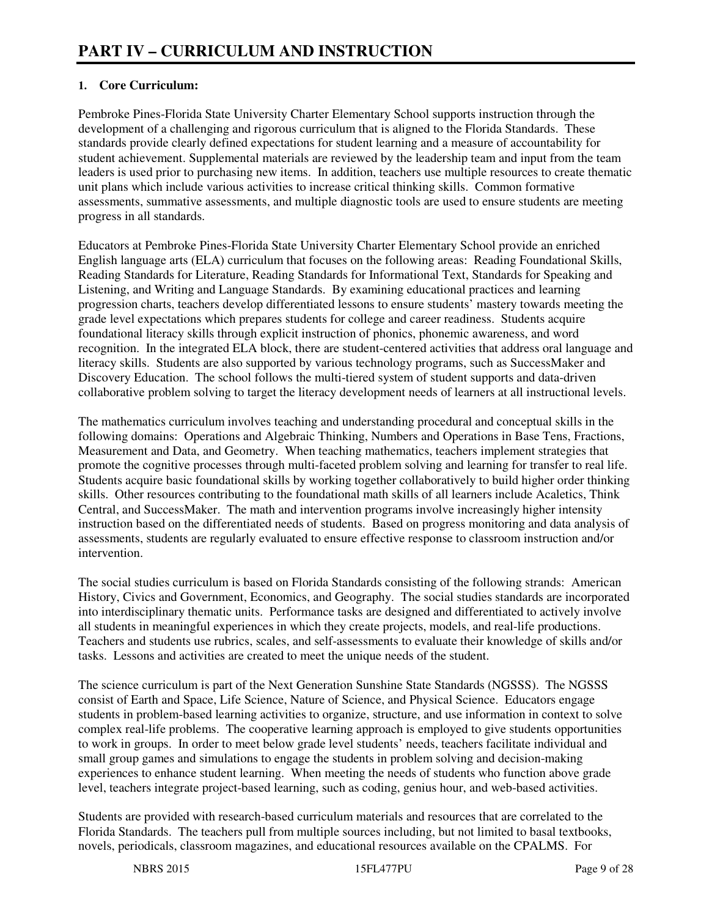#### **1. Core Curriculum:**

Pembroke Pines-Florida State University Charter Elementary School supports instruction through the development of a challenging and rigorous curriculum that is aligned to the Florida Standards. These standards provide clearly defined expectations for student learning and a measure of accountability for student achievement. Supplemental materials are reviewed by the leadership team and input from the team leaders is used prior to purchasing new items. In addition, teachers use multiple resources to create thematic unit plans which include various activities to increase critical thinking skills. Common formative assessments, summative assessments, and multiple diagnostic tools are used to ensure students are meeting progress in all standards.

Educators at Pembroke Pines-Florida State University Charter Elementary School provide an enriched English language arts (ELA) curriculum that focuses on the following areas: Reading Foundational Skills, Reading Standards for Literature, Reading Standards for Informational Text, Standards for Speaking and Listening, and Writing and Language Standards. By examining educational practices and learning progression charts, teachers develop differentiated lessons to ensure students' mastery towards meeting the grade level expectations which prepares students for college and career readiness. Students acquire foundational literacy skills through explicit instruction of phonics, phonemic awareness, and word recognition. In the integrated ELA block, there are student-centered activities that address oral language and literacy skills. Students are also supported by various technology programs, such as SuccessMaker and Discovery Education. The school follows the multi-tiered system of student supports and data-driven collaborative problem solving to target the literacy development needs of learners at all instructional levels.

The mathematics curriculum involves teaching and understanding procedural and conceptual skills in the following domains: Operations and Algebraic Thinking, Numbers and Operations in Base Tens, Fractions, Measurement and Data, and Geometry. When teaching mathematics, teachers implement strategies that promote the cognitive processes through multi-faceted problem solving and learning for transfer to real life. Students acquire basic foundational skills by working together collaboratively to build higher order thinking skills. Other resources contributing to the foundational math skills of all learners include Acaletics, Think Central, and SuccessMaker. The math and intervention programs involve increasingly higher intensity instruction based on the differentiated needs of students. Based on progress monitoring and data analysis of assessments, students are regularly evaluated to ensure effective response to classroom instruction and/or intervention.

The social studies curriculum is based on Florida Standards consisting of the following strands: American History, Civics and Government, Economics, and Geography. The social studies standards are incorporated into interdisciplinary thematic units. Performance tasks are designed and differentiated to actively involve all students in meaningful experiences in which they create projects, models, and real-life productions. Teachers and students use rubrics, scales, and self-assessments to evaluate their knowledge of skills and/or tasks. Lessons and activities are created to meet the unique needs of the student.

The science curriculum is part of the Next Generation Sunshine State Standards (NGSSS). The NGSSS consist of Earth and Space, Life Science, Nature of Science, and Physical Science. Educators engage students in problem-based learning activities to organize, structure, and use information in context to solve complex real-life problems. The cooperative learning approach is employed to give students opportunities to work in groups. In order to meet below grade level students' needs, teachers facilitate individual and small group games and simulations to engage the students in problem solving and decision-making experiences to enhance student learning. When meeting the needs of students who function above grade level, teachers integrate project-based learning, such as coding, genius hour, and web-based activities.

Students are provided with research-based curriculum materials and resources that are correlated to the Florida Standards. The teachers pull from multiple sources including, but not limited to basal textbooks, novels, periodicals, classroom magazines, and educational resources available on the CPALMS. For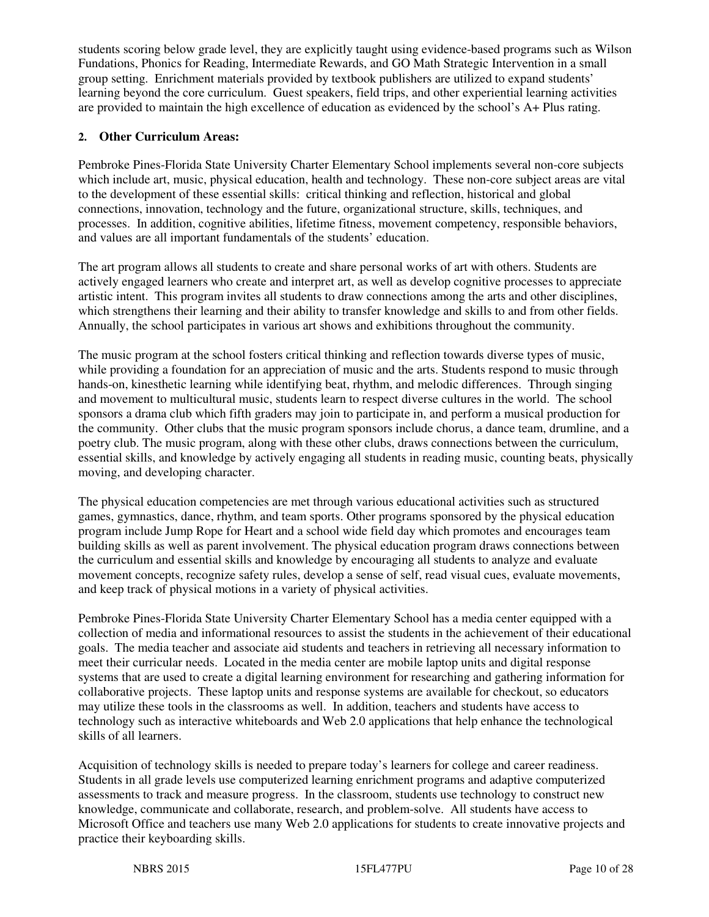students scoring below grade level, they are explicitly taught using evidence-based programs such as Wilson Fundations, Phonics for Reading, Intermediate Rewards, and GO Math Strategic Intervention in a small group setting. Enrichment materials provided by textbook publishers are utilized to expand students' learning beyond the core curriculum. Guest speakers, field trips, and other experiential learning activities are provided to maintain the high excellence of education as evidenced by the school's A+ Plus rating.

#### **2. Other Curriculum Areas:**

Pembroke Pines-Florida State University Charter Elementary School implements several non-core subjects which include art, music, physical education, health and technology. These non-core subject areas are vital to the development of these essential skills: critical thinking and reflection, historical and global connections, innovation, technology and the future, organizational structure, skills, techniques, and processes. In addition, cognitive abilities, lifetime fitness, movement competency, responsible behaviors, and values are all important fundamentals of the students' education.

The art program allows all students to create and share personal works of art with others. Students are actively engaged learners who create and interpret art, as well as develop cognitive processes to appreciate artistic intent. This program invites all students to draw connections among the arts and other disciplines, which strengthens their learning and their ability to transfer knowledge and skills to and from other fields. Annually, the school participates in various art shows and exhibitions throughout the community.

The music program at the school fosters critical thinking and reflection towards diverse types of music, while providing a foundation for an appreciation of music and the arts. Students respond to music through hands-on, kinesthetic learning while identifying beat, rhythm, and melodic differences. Through singing and movement to multicultural music, students learn to respect diverse cultures in the world. The school sponsors a drama club which fifth graders may join to participate in, and perform a musical production for the community. Other clubs that the music program sponsors include chorus, a dance team, drumline, and a poetry club. The music program, along with these other clubs, draws connections between the curriculum, essential skills, and knowledge by actively engaging all students in reading music, counting beats, physically moving, and developing character.

The physical education competencies are met through various educational activities such as structured games, gymnastics, dance, rhythm, and team sports. Other programs sponsored by the physical education program include Jump Rope for Heart and a school wide field day which promotes and encourages team building skills as well as parent involvement. The physical education program draws connections between the curriculum and essential skills and knowledge by encouraging all students to analyze and evaluate movement concepts, recognize safety rules, develop a sense of self, read visual cues, evaluate movements, and keep track of physical motions in a variety of physical activities.

Pembroke Pines-Florida State University Charter Elementary School has a media center equipped with a collection of media and informational resources to assist the students in the achievement of their educational goals. The media teacher and associate aid students and teachers in retrieving all necessary information to meet their curricular needs. Located in the media center are mobile laptop units and digital response systems that are used to create a digital learning environment for researching and gathering information for collaborative projects. These laptop units and response systems are available for checkout, so educators may utilize these tools in the classrooms as well. In addition, teachers and students have access to technology such as interactive whiteboards and Web 2.0 applications that help enhance the technological skills of all learners.

Acquisition of technology skills is needed to prepare today's learners for college and career readiness. Students in all grade levels use computerized learning enrichment programs and adaptive computerized assessments to track and measure progress. In the classroom, students use technology to construct new knowledge, communicate and collaborate, research, and problem-solve. All students have access to Microsoft Office and teachers use many Web 2.0 applications for students to create innovative projects and practice their keyboarding skills.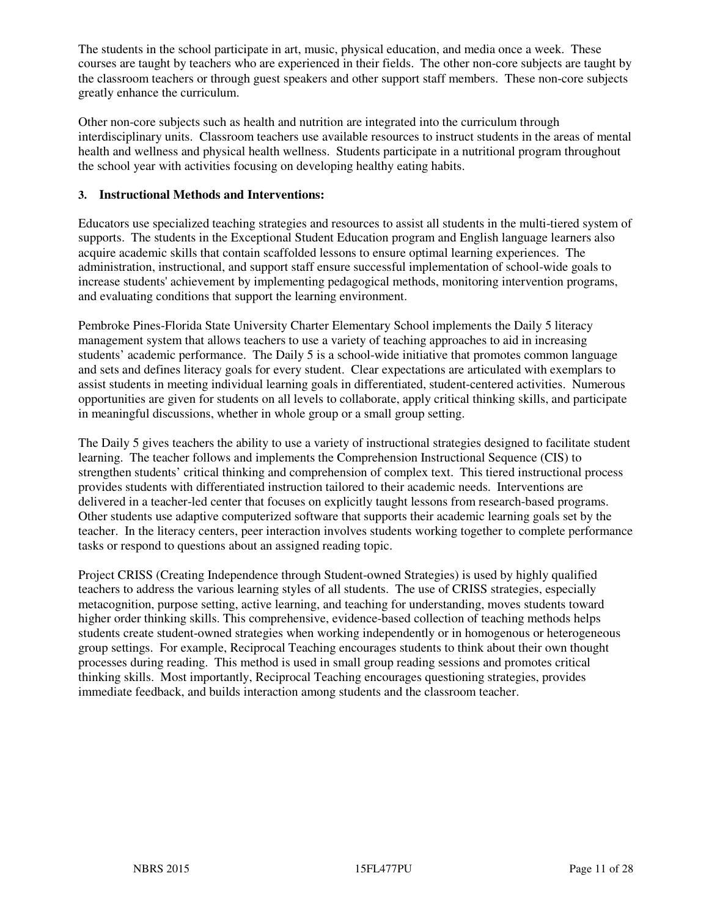The students in the school participate in art, music, physical education, and media once a week. These courses are taught by teachers who are experienced in their fields. The other non-core subjects are taught by the classroom teachers or through guest speakers and other support staff members. These non-core subjects greatly enhance the curriculum.

Other non-core subjects such as health and nutrition are integrated into the curriculum through interdisciplinary units. Classroom teachers use available resources to instruct students in the areas of mental health and wellness and physical health wellness. Students participate in a nutritional program throughout the school year with activities focusing on developing healthy eating habits.

#### **3. Instructional Methods and Interventions:**

Educators use specialized teaching strategies and resources to assist all students in the multi-tiered system of supports. The students in the Exceptional Student Education program and English language learners also acquire academic skills that contain scaffolded lessons to ensure optimal learning experiences. The administration, instructional, and support staff ensure successful implementation of school-wide goals to increase students' achievement by implementing pedagogical methods, monitoring intervention programs, and evaluating conditions that support the learning environment.

Pembroke Pines-Florida State University Charter Elementary School implements the Daily 5 literacy management system that allows teachers to use a variety of teaching approaches to aid in increasing students' academic performance. The Daily 5 is a school-wide initiative that promotes common language and sets and defines literacy goals for every student. Clear expectations are articulated with exemplars to assist students in meeting individual learning goals in differentiated, student-centered activities. Numerous opportunities are given for students on all levels to collaborate, apply critical thinking skills, and participate in meaningful discussions, whether in whole group or a small group setting.

The Daily 5 gives teachers the ability to use a variety of instructional strategies designed to facilitate student learning. The teacher follows and implements the Comprehension Instructional Sequence (CIS) to strengthen students' critical thinking and comprehension of complex text. This tiered instructional process provides students with differentiated instruction tailored to their academic needs. Interventions are delivered in a teacher-led center that focuses on explicitly taught lessons from research-based programs. Other students use adaptive computerized software that supports their academic learning goals set by the teacher. In the literacy centers, peer interaction involves students working together to complete performance tasks or respond to questions about an assigned reading topic.

Project CRISS (Creating Independence through Student-owned Strategies) is used by highly qualified teachers to address the various learning styles of all students. The use of CRISS strategies, especially metacognition, purpose setting, active learning, and teaching for understanding, moves students toward higher order thinking skills. This comprehensive, evidence-based collection of teaching methods helps students create student-owned strategies when working independently or in homogenous or heterogeneous group settings. For example, Reciprocal Teaching encourages students to think about their own thought processes during reading. This method is used in small group reading sessions and promotes critical thinking skills. Most importantly, Reciprocal Teaching encourages questioning strategies, provides immediate feedback, and builds interaction among students and the classroom teacher.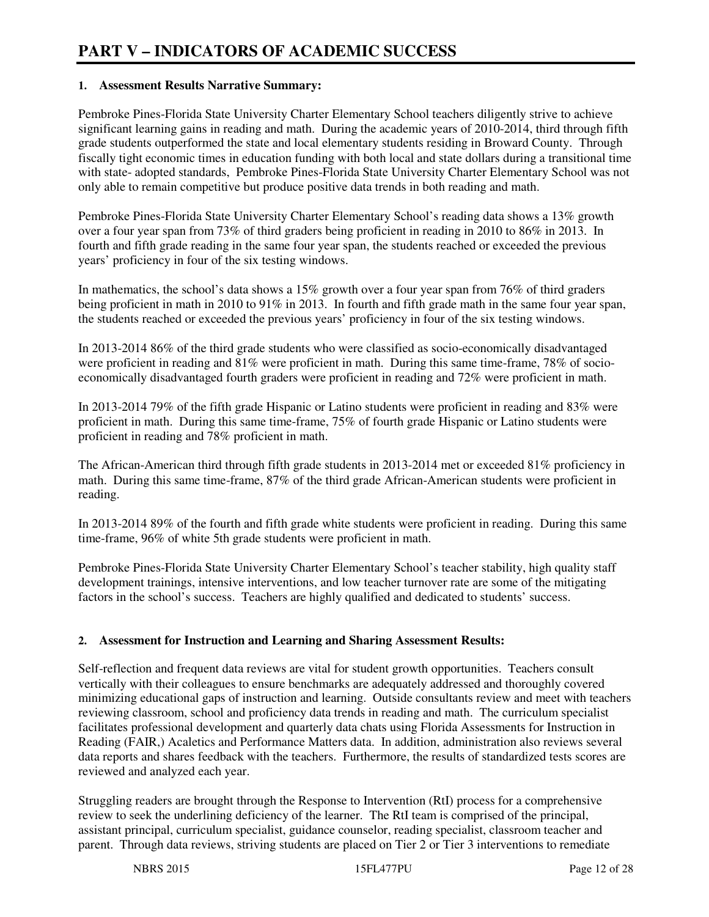#### **1. Assessment Results Narrative Summary:**

Pembroke Pines-Florida State University Charter Elementary School teachers diligently strive to achieve significant learning gains in reading and math. During the academic years of 2010-2014, third through fifth grade students outperformed the state and local elementary students residing in Broward County. Through fiscally tight economic times in education funding with both local and state dollars during a transitional time with state- adopted standards, Pembroke Pines-Florida State University Charter Elementary School was not only able to remain competitive but produce positive data trends in both reading and math.

Pembroke Pines-Florida State University Charter Elementary School's reading data shows a 13% growth over a four year span from 73% of third graders being proficient in reading in 2010 to 86% in 2013. In fourth and fifth grade reading in the same four year span, the students reached or exceeded the previous years' proficiency in four of the six testing windows.

In mathematics, the school's data shows a 15% growth over a four year span from 76% of third graders being proficient in math in 2010 to 91% in 2013. In fourth and fifth grade math in the same four year span, the students reached or exceeded the previous years' proficiency in four of the six testing windows.

In 2013-2014 86% of the third grade students who were classified as socio-economically disadvantaged were proficient in reading and 81% were proficient in math. During this same time-frame, 78% of socioeconomically disadvantaged fourth graders were proficient in reading and 72% were proficient in math.

In 2013-2014 79% of the fifth grade Hispanic or Latino students were proficient in reading and 83% were proficient in math. During this same time-frame, 75% of fourth grade Hispanic or Latino students were proficient in reading and 78% proficient in math.

The African-American third through fifth grade students in 2013-2014 met or exceeded 81% proficiency in math. During this same time-frame, 87% of the third grade African-American students were proficient in reading.

In 2013-2014 89% of the fourth and fifth grade white students were proficient in reading. During this same time-frame, 96% of white 5th grade students were proficient in math.

Pembroke Pines-Florida State University Charter Elementary School's teacher stability, high quality staff development trainings, intensive interventions, and low teacher turnover rate are some of the mitigating factors in the school's success. Teachers are highly qualified and dedicated to students' success.

#### **2. Assessment for Instruction and Learning and Sharing Assessment Results:**

Self-reflection and frequent data reviews are vital for student growth opportunities. Teachers consult vertically with their colleagues to ensure benchmarks are adequately addressed and thoroughly covered minimizing educational gaps of instruction and learning. Outside consultants review and meet with teachers reviewing classroom, school and proficiency data trends in reading and math. The curriculum specialist facilitates professional development and quarterly data chats using Florida Assessments for Instruction in Reading (FAIR,) Acaletics and Performance Matters data. In addition, administration also reviews several data reports and shares feedback with the teachers. Furthermore, the results of standardized tests scores are reviewed and analyzed each year.

Struggling readers are brought through the Response to Intervention (RtI) process for a comprehensive review to seek the underlining deficiency of the learner. The RtI team is comprised of the principal, assistant principal, curriculum specialist, guidance counselor, reading specialist, classroom teacher and parent. Through data reviews, striving students are placed on Tier 2 or Tier 3 interventions to remediate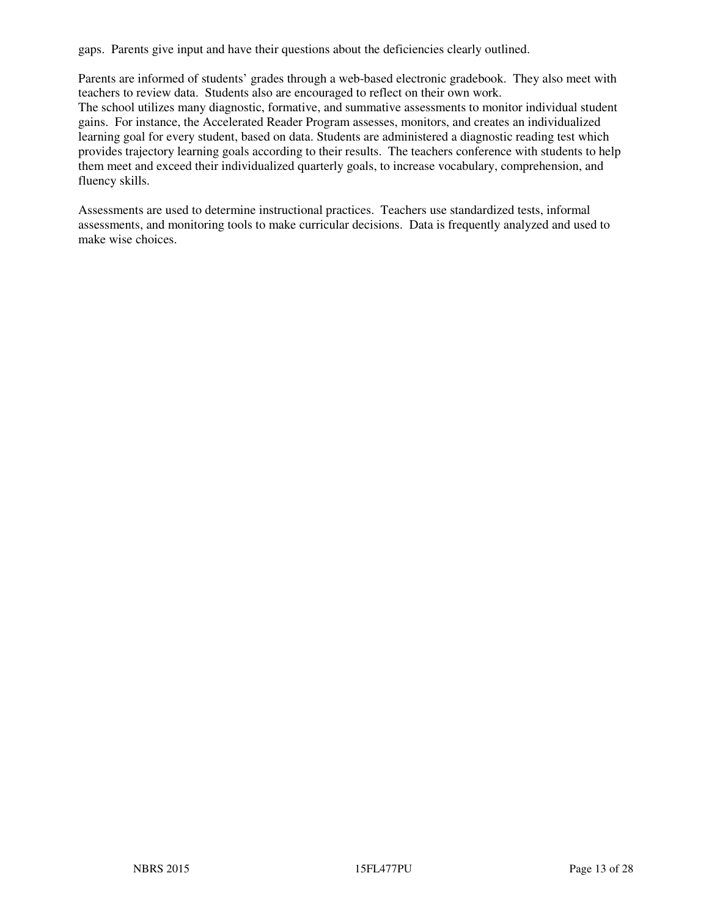gaps. Parents give input and have their questions about the deficiencies clearly outlined.

Parents are informed of students' grades through a web-based electronic gradebook. They also meet with teachers to review data. Students also are encouraged to reflect on their own work. The school utilizes many diagnostic, formative, and summative assessments to monitor individual student gains. For instance, the Accelerated Reader Program assesses, monitors, and creates an individualized learning goal for every student, based on data. Students are administered a diagnostic reading test which provides trajectory learning goals according to their results. The teachers conference with students to help them meet and exceed their individualized quarterly goals, to increase vocabulary, comprehension, and fluency skills.

Assessments are used to determine instructional practices. Teachers use standardized tests, informal assessments, and monitoring tools to make curricular decisions. Data is frequently analyzed and used to make wise choices.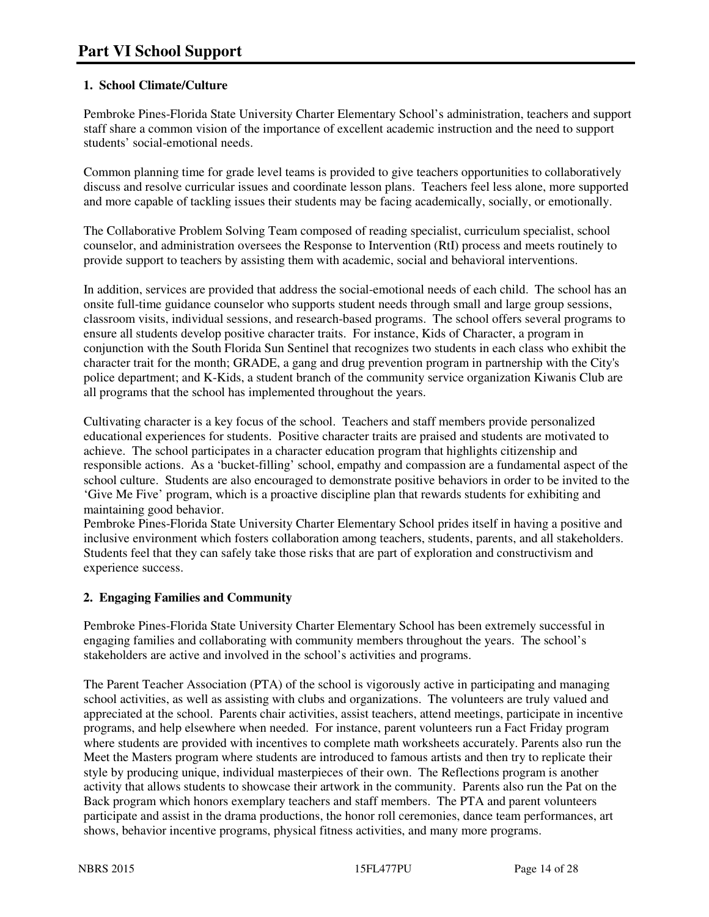#### **1. School Climate/Culture**

Pembroke Pines-Florida State University Charter Elementary School's administration, teachers and support staff share a common vision of the importance of excellent academic instruction and the need to support students' social-emotional needs.

Common planning time for grade level teams is provided to give teachers opportunities to collaboratively discuss and resolve curricular issues and coordinate lesson plans. Teachers feel less alone, more supported and more capable of tackling issues their students may be facing academically, socially, or emotionally.

The Collaborative Problem Solving Team composed of reading specialist, curriculum specialist, school counselor, and administration oversees the Response to Intervention (RtI) process and meets routinely to provide support to teachers by assisting them with academic, social and behavioral interventions.

In addition, services are provided that address the social-emotional needs of each child. The school has an onsite full-time guidance counselor who supports student needs through small and large group sessions, classroom visits, individual sessions, and research-based programs. The school offers several programs to ensure all students develop positive character traits. For instance, Kids of Character, a program in conjunction with the South Florida Sun Sentinel that recognizes two students in each class who exhibit the character trait for the month; GRADE, a gang and drug prevention program in partnership with the City's police department; and K-Kids, a student branch of the community service organization Kiwanis Club are all programs that the school has implemented throughout the years.

Cultivating character is a key focus of the school. Teachers and staff members provide personalized educational experiences for students. Positive character traits are praised and students are motivated to achieve. The school participates in a character education program that highlights citizenship and responsible actions. As a 'bucket-filling' school, empathy and compassion are a fundamental aspect of the school culture. Students are also encouraged to demonstrate positive behaviors in order to be invited to the 'Give Me Five' program, which is a proactive discipline plan that rewards students for exhibiting and maintaining good behavior.

Pembroke Pines-Florida State University Charter Elementary School prides itself in having a positive and inclusive environment which fosters collaboration among teachers, students, parents, and all stakeholders. Students feel that they can safely take those risks that are part of exploration and constructivism and experience success.

#### **2. Engaging Families and Community**

Pembroke Pines-Florida State University Charter Elementary School has been extremely successful in engaging families and collaborating with community members throughout the years. The school's stakeholders are active and involved in the school's activities and programs.

The Parent Teacher Association (PTA) of the school is vigorously active in participating and managing school activities, as well as assisting with clubs and organizations. The volunteers are truly valued and appreciated at the school. Parents chair activities, assist teachers, attend meetings, participate in incentive programs, and help elsewhere when needed. For instance, parent volunteers run a Fact Friday program where students are provided with incentives to complete math worksheets accurately. Parents also run the Meet the Masters program where students are introduced to famous artists and then try to replicate their style by producing unique, individual masterpieces of their own. The Reflections program is another activity that allows students to showcase their artwork in the community. Parents also run the Pat on the Back program which honors exemplary teachers and staff members. The PTA and parent volunteers participate and assist in the drama productions, the honor roll ceremonies, dance team performances, art shows, behavior incentive programs, physical fitness activities, and many more programs.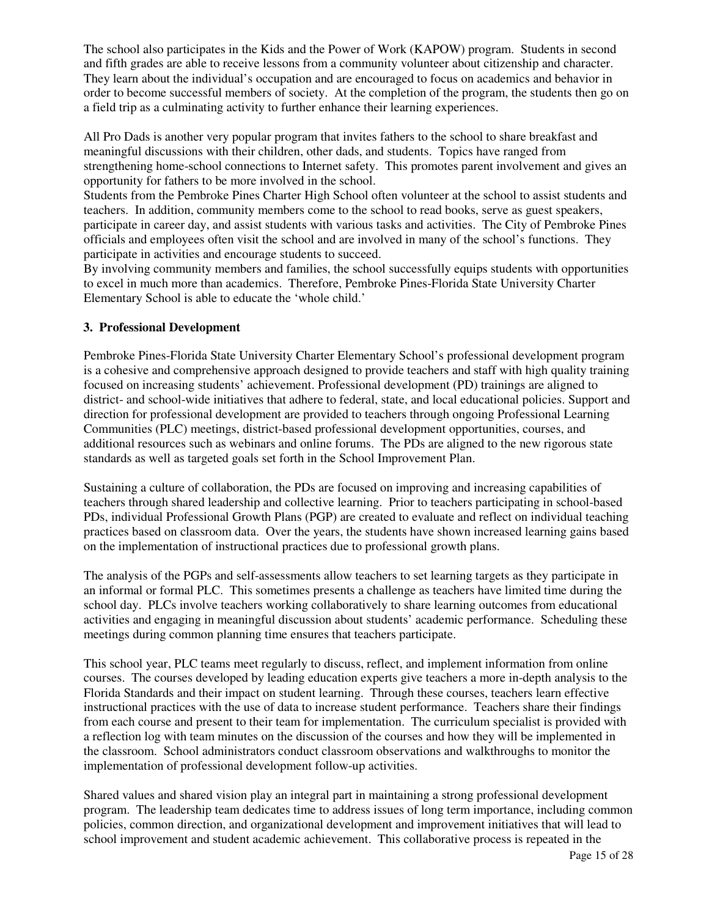The school also participates in the Kids and the Power of Work (KAPOW) program. Students in second and fifth grades are able to receive lessons from a community volunteer about citizenship and character. They learn about the individual's occupation and are encouraged to focus on academics and behavior in order to become successful members of society. At the completion of the program, the students then go on a field trip as a culminating activity to further enhance their learning experiences.

All Pro Dads is another very popular program that invites fathers to the school to share breakfast and meaningful discussions with their children, other dads, and students. Topics have ranged from strengthening home-school connections to Internet safety. This promotes parent involvement and gives an opportunity for fathers to be more involved in the school.

Students from the Pembroke Pines Charter High School often volunteer at the school to assist students and teachers. In addition, community members come to the school to read books, serve as guest speakers, participate in career day, and assist students with various tasks and activities. The City of Pembroke Pines officials and employees often visit the school and are involved in many of the school's functions. They participate in activities and encourage students to succeed.

By involving community members and families, the school successfully equips students with opportunities to excel in much more than academics. Therefore, Pembroke Pines-Florida State University Charter Elementary School is able to educate the 'whole child.'

#### **3. Professional Development**

Pembroke Pines-Florida State University Charter Elementary School's professional development program is a cohesive and comprehensive approach designed to provide teachers and staff with high quality training focused on increasing students' achievement. Professional development (PD) trainings are aligned to district- and school-wide initiatives that adhere to federal, state, and local educational policies. Support and direction for professional development are provided to teachers through ongoing Professional Learning Communities (PLC) meetings, district-based professional development opportunities, courses, and additional resources such as webinars and online forums. The PDs are aligned to the new rigorous state standards as well as targeted goals set forth in the School Improvement Plan.

Sustaining a culture of collaboration, the PDs are focused on improving and increasing capabilities of teachers through shared leadership and collective learning. Prior to teachers participating in school-based PDs, individual Professional Growth Plans (PGP) are created to evaluate and reflect on individual teaching practices based on classroom data. Over the years, the students have shown increased learning gains based on the implementation of instructional practices due to professional growth plans.

The analysis of the PGPs and self-assessments allow teachers to set learning targets as they participate in an informal or formal PLC. This sometimes presents a challenge as teachers have limited time during the school day. PLCs involve teachers working collaboratively to share learning outcomes from educational activities and engaging in meaningful discussion about students' academic performance. Scheduling these meetings during common planning time ensures that teachers participate.

This school year, PLC teams meet regularly to discuss, reflect, and implement information from online courses. The courses developed by leading education experts give teachers a more in-depth analysis to the Florida Standards and their impact on student learning. Through these courses, teachers learn effective instructional practices with the use of data to increase student performance. Teachers share their findings from each course and present to their team for implementation. The curriculum specialist is provided with a reflection log with team minutes on the discussion of the courses and how they will be implemented in the classroom. School administrators conduct classroom observations and walkthroughs to monitor the implementation of professional development follow-up activities.

Shared values and shared vision play an integral part in maintaining a strong professional development program. The leadership team dedicates time to address issues of long term importance, including common policies, common direction, and organizational development and improvement initiatives that will lead to school improvement and student academic achievement. This collaborative process is repeated in the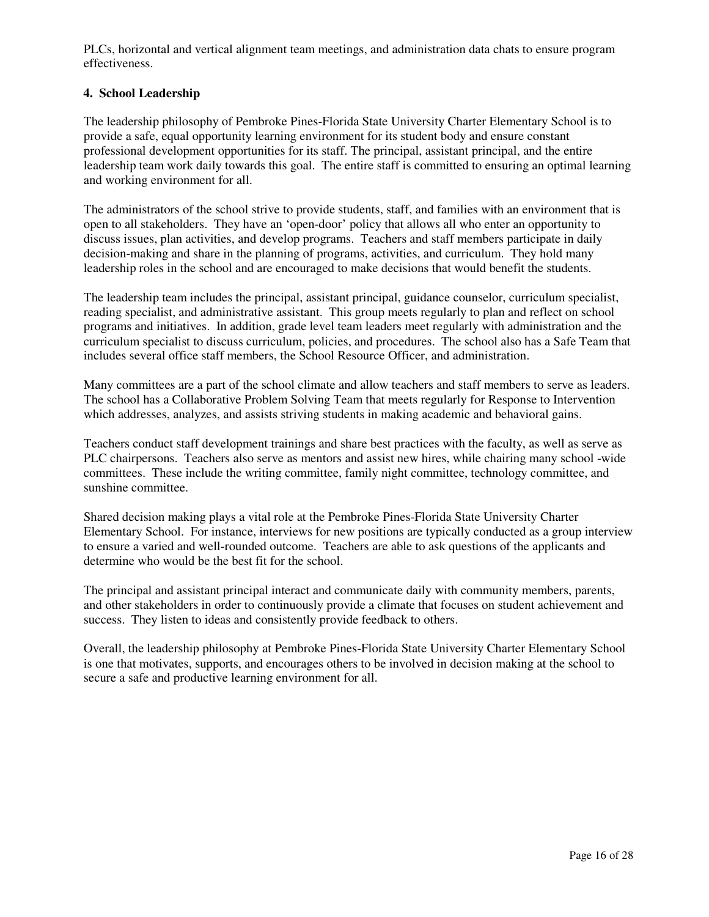PLCs, horizontal and vertical alignment team meetings, and administration data chats to ensure program effectiveness.

#### **4. School Leadership**

The leadership philosophy of Pembroke Pines-Florida State University Charter Elementary School is to provide a safe, equal opportunity learning environment for its student body and ensure constant professional development opportunities for its staff. The principal, assistant principal, and the entire leadership team work daily towards this goal. The entire staff is committed to ensuring an optimal learning and working environment for all.

The administrators of the school strive to provide students, staff, and families with an environment that is open to all stakeholders. They have an 'open-door' policy that allows all who enter an opportunity to discuss issues, plan activities, and develop programs. Teachers and staff members participate in daily decision-making and share in the planning of programs, activities, and curriculum. They hold many leadership roles in the school and are encouraged to make decisions that would benefit the students.

The leadership team includes the principal, assistant principal, guidance counselor, curriculum specialist, reading specialist, and administrative assistant. This group meets regularly to plan and reflect on school programs and initiatives. In addition, grade level team leaders meet regularly with administration and the curriculum specialist to discuss curriculum, policies, and procedures. The school also has a Safe Team that includes several office staff members, the School Resource Officer, and administration.

Many committees are a part of the school climate and allow teachers and staff members to serve as leaders. The school has a Collaborative Problem Solving Team that meets regularly for Response to Intervention which addresses, analyzes, and assists striving students in making academic and behavioral gains.

Teachers conduct staff development trainings and share best practices with the faculty, as well as serve as PLC chairpersons. Teachers also serve as mentors and assist new hires, while chairing many school -wide committees. These include the writing committee, family night committee, technology committee, and sunshine committee.

Shared decision making plays a vital role at the Pembroke Pines-Florida State University Charter Elementary School. For instance, interviews for new positions are typically conducted as a group interview to ensure a varied and well-rounded outcome. Teachers are able to ask questions of the applicants and determine who would be the best fit for the school.

The principal and assistant principal interact and communicate daily with community members, parents, and other stakeholders in order to continuously provide a climate that focuses on student achievement and success. They listen to ideas and consistently provide feedback to others.

Overall, the leadership philosophy at Pembroke Pines-Florida State University Charter Elementary School is one that motivates, supports, and encourages others to be involved in decision making at the school to secure a safe and productive learning environment for all.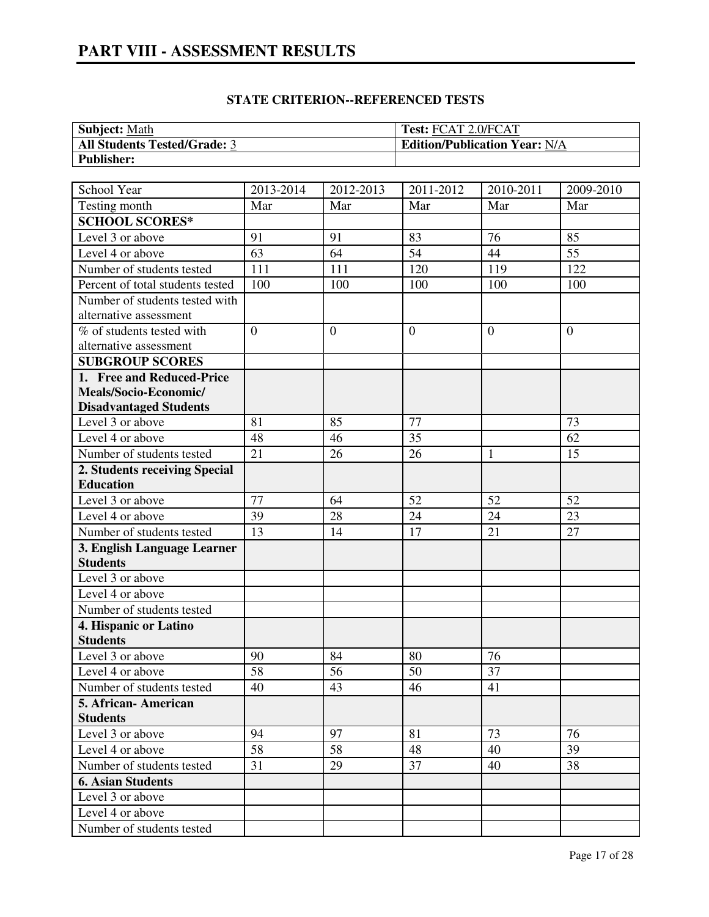| Subject: Math                       | <b>Test: FCAT 2.0/FCAT</b>           |
|-------------------------------------|--------------------------------------|
| <b>All Students Tested/Grade: 3</b> | <b>Edition/Publication Year: N/A</b> |
| Publisher:                          |                                      |

| School Year                      | 2013-2014      | 2012-2013        | 2011-2012      | 2010-2011    | 2009-2010       |
|----------------------------------|----------------|------------------|----------------|--------------|-----------------|
| Testing month                    | Mar            | Mar              | Mar            | Mar          | Mar             |
| <b>SCHOOL SCORES*</b>            |                |                  |                |              |                 |
| Level 3 or above                 | 91             | 91               | 83             | 76           | 85              |
| Level 4 or above                 | 63             | 64               | 54             | 44           | $\overline{55}$ |
| Number of students tested        | 111            | 111              | 120            | 119          | 122             |
| Percent of total students tested | 100            | 100              | 100            | 100          | 100             |
| Number of students tested with   |                |                  |                |              |                 |
| alternative assessment           |                |                  |                |              |                 |
| % of students tested with        | $\overline{0}$ | $\boldsymbol{0}$ | $\overline{0}$ | $\mathbf{0}$ | $\overline{0}$  |
| alternative assessment           |                |                  |                |              |                 |
| <b>SUBGROUP SCORES</b>           |                |                  |                |              |                 |
| 1. Free and Reduced-Price        |                |                  |                |              |                 |
| Meals/Socio-Economic/            |                |                  |                |              |                 |
| <b>Disadvantaged Students</b>    |                |                  |                |              |                 |
| Level 3 or above                 | 81             | 85               | 77             |              | 73              |
| Level 4 or above                 | 48             | 46               | 35             |              | 62              |
| Number of students tested        | 21             | 26               | 26             | 1            | 15              |
| 2. Students receiving Special    |                |                  |                |              |                 |
| <b>Education</b>                 |                |                  |                |              |                 |
| Level 3 or above                 | 77             | 64               | 52             | 52           | 52              |
| Level 4 or above                 | 39             | 28               | 24             | 24           | 23              |
| Number of students tested        | 13             | 14               | 17             | 21           | 27              |
| 3. English Language Learner      |                |                  |                |              |                 |
| <b>Students</b>                  |                |                  |                |              |                 |
| Level 3 or above                 |                |                  |                |              |                 |
| Level 4 or above                 |                |                  |                |              |                 |
| Number of students tested        |                |                  |                |              |                 |
| 4. Hispanic or Latino            |                |                  |                |              |                 |
| <b>Students</b>                  |                |                  |                |              |                 |
| Level 3 or above                 | 90             | 84               | 80             | 76           |                 |
| Level 4 or above                 | 58             | 56               | 50             | 37           |                 |
| Number of students tested        | 40             | 43               | 46             | 41           |                 |
| 5. African- American             |                |                  |                |              |                 |
| <b>Students</b>                  |                |                  |                |              |                 |
| Level 3 or above                 | 94             | 97               | 81             | 73           | 76              |
| Level 4 or above                 | 58             | 58               | 48             | 40           | 39              |
| Number of students tested        | 31             | 29               | 37             | 40           | 38              |
| <b>6. Asian Students</b>         |                |                  |                |              |                 |
| Level 3 or above                 |                |                  |                |              |                 |
| Level 4 or above                 |                |                  |                |              |                 |
| Number of students tested        |                |                  |                |              |                 |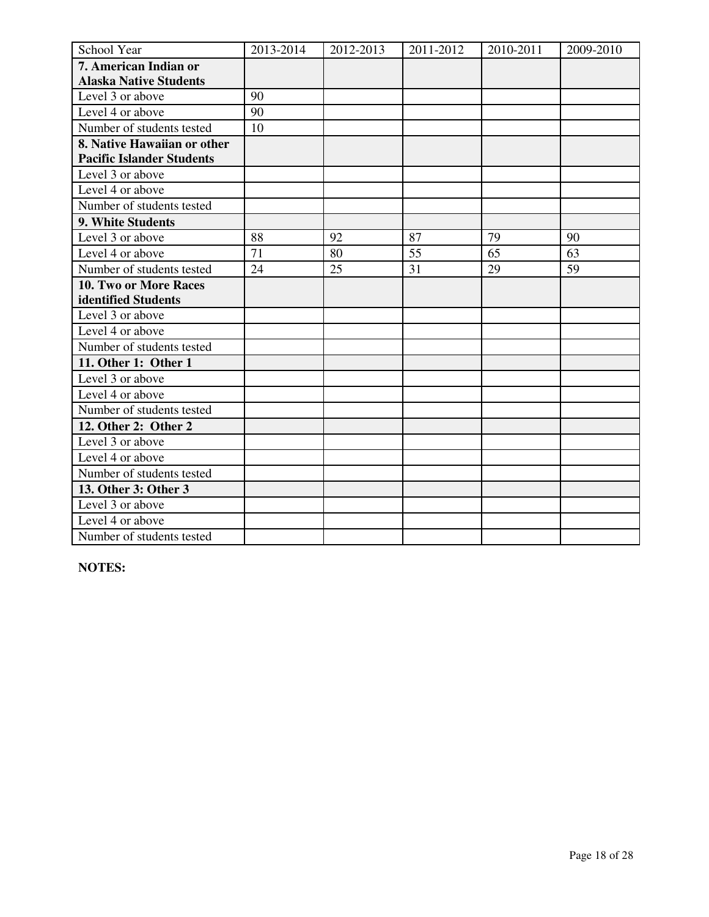| School Year                      | 2013-2014 | 2012-2013 | 2011-2012 | 2010-2011 | 2009-2010 |
|----------------------------------|-----------|-----------|-----------|-----------|-----------|
| 7. American Indian or            |           |           |           |           |           |
| <b>Alaska Native Students</b>    |           |           |           |           |           |
| Level 3 or above                 | 90        |           |           |           |           |
| Level 4 or above                 | 90        |           |           |           |           |
| Number of students tested        | 10        |           |           |           |           |
| 8. Native Hawaiian or other      |           |           |           |           |           |
| <b>Pacific Islander Students</b> |           |           |           |           |           |
| Level 3 or above                 |           |           |           |           |           |
| Level 4 or above                 |           |           |           |           |           |
| Number of students tested        |           |           |           |           |           |
| 9. White Students                |           |           |           |           |           |
| Level 3 or above                 | 88        | 92        | 87        | 79        | 90        |
| Level 4 or above                 | 71        | 80        | 55        | 65        | 63        |
| Number of students tested        | 24        | 25        | 31        | 29        | 59        |
| 10. Two or More Races            |           |           |           |           |           |
| identified Students              |           |           |           |           |           |
| Level 3 or above                 |           |           |           |           |           |
| Level 4 or above                 |           |           |           |           |           |
| Number of students tested        |           |           |           |           |           |
| 11. Other 1: Other 1             |           |           |           |           |           |
| Level 3 or above                 |           |           |           |           |           |
| Level 4 or above                 |           |           |           |           |           |
| Number of students tested        |           |           |           |           |           |
| 12. Other 2: Other 2             |           |           |           |           |           |
| Level 3 or above                 |           |           |           |           |           |
| Level 4 or above                 |           |           |           |           |           |
| Number of students tested        |           |           |           |           |           |
| 13. Other 3: Other 3             |           |           |           |           |           |
| Level 3 or above                 |           |           |           |           |           |
| Level 4 or above                 |           |           |           |           |           |
| Number of students tested        |           |           |           |           |           |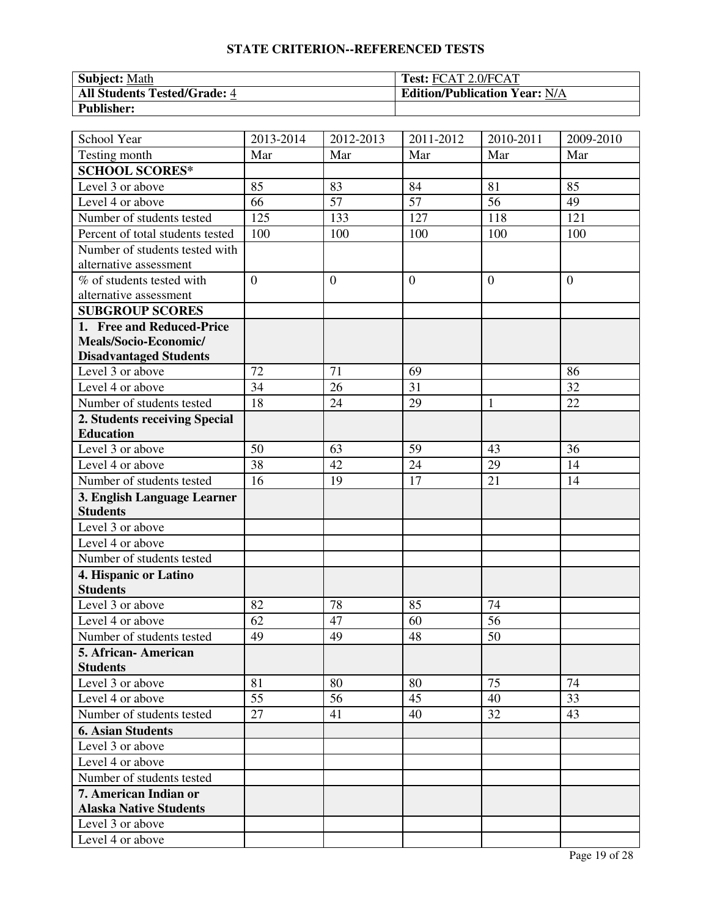| Subject: Math                       | <b>Test: FCAT 2.0/FCAT</b>           |
|-------------------------------------|--------------------------------------|
| <b>All Students Tested/Grade: 4</b> | <b>Edition/Publication Year: N/A</b> |
| <b>Publisher:</b>                   |                                      |

| School Year                      | 2013-2014      | 2012-2013      | 2011-2012      | $\overline{2010}$ -2011 | 2009-2010      |
|----------------------------------|----------------|----------------|----------------|-------------------------|----------------|
| Testing month                    | Mar            | Mar            | Mar            | Mar                     | Mar            |
| <b>SCHOOL SCORES*</b>            |                |                |                |                         |                |
| Level 3 or above                 | 85             | 83             | 84             | 81                      | 85             |
| Level 4 or above                 | 66             | 57             | 57             | 56                      | 49             |
| Number of students tested        | 125            | 133            | 127            | 118                     | 121            |
| Percent of total students tested | 100            | 100            | 100            | 100                     | 100            |
| Number of students tested with   |                |                |                |                         |                |
| alternative assessment           |                |                |                |                         |                |
| % of students tested with        | $\overline{0}$ | $\overline{0}$ | $\overline{0}$ | $\overline{0}$          | $\overline{0}$ |
| alternative assessment           |                |                |                |                         |                |
| <b>SUBGROUP SCORES</b>           |                |                |                |                         |                |
| 1. Free and Reduced-Price        |                |                |                |                         |                |
| Meals/Socio-Economic/            |                |                |                |                         |                |
| <b>Disadvantaged Students</b>    |                |                |                |                         |                |
| Level 3 or above                 | 72             | 71             | 69             |                         | 86             |
| Level 4 or above                 | 34             | 26             | 31             |                         | 32             |
| Number of students tested        | 18             | 24             | 29             | 1                       | 22             |
| 2. Students receiving Special    |                |                |                |                         |                |
| <b>Education</b>                 |                |                |                |                         |                |
| Level 3 or above                 | 50             | 63             | 59             | 43                      | 36             |
| Level 4 or above                 | 38             | 42             | 24             | 29                      | 14             |
| Number of students tested        | 16             | 19             | 17             | 21                      | 14             |
| 3. English Language Learner      |                |                |                |                         |                |
| <b>Students</b>                  |                |                |                |                         |                |
| Level 3 or above                 |                |                |                |                         |                |
| Level 4 or above                 |                |                |                |                         |                |
| Number of students tested        |                |                |                |                         |                |
| 4. Hispanic or Latino            |                |                |                |                         |                |
| <b>Students</b>                  |                |                |                |                         |                |
| Level 3 or above                 | 82             | 78             | 85             | 74                      |                |
| Level 4 or above                 | 62             | 47             | 60             | 56                      |                |
| Number of students tested        | 49             | 49             | 48             | 50                      |                |
| 5. African- American             |                |                |                |                         |                |
| <b>Students</b>                  |                |                |                |                         |                |
| Level 3 or above                 | 81             | 80             | 80             | 75                      | 74             |
| Level 4 or above                 | 55             | 56             | 45             | 40                      | 33             |
| Number of students tested        | 27             | 41             | 40             | 32                      | 43             |
| <b>6. Asian Students</b>         |                |                |                |                         |                |
| Level 3 or above                 |                |                |                |                         |                |
| Level 4 or above                 |                |                |                |                         |                |
| Number of students tested        |                |                |                |                         |                |
| 7. American Indian or            |                |                |                |                         |                |
| <b>Alaska Native Students</b>    |                |                |                |                         |                |
| Level 3 or above                 |                |                |                |                         |                |
| Level 4 or above                 |                |                |                |                         |                |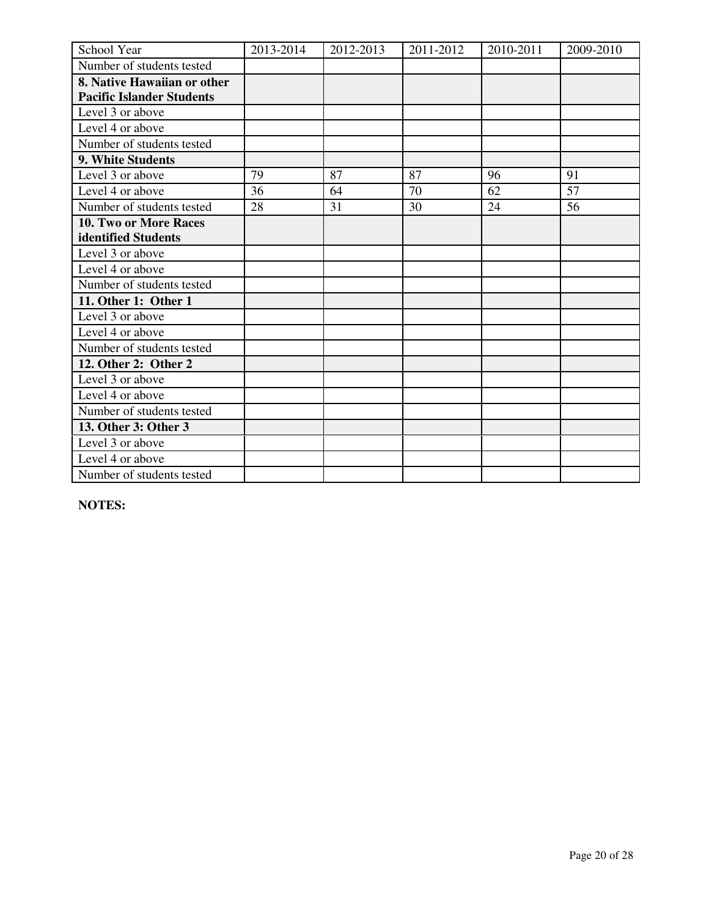| School Year                      | 2013-2014 | 2012-2013 | 2011-2012 | 2010-2011 | 2009-2010 |
|----------------------------------|-----------|-----------|-----------|-----------|-----------|
| Number of students tested        |           |           |           |           |           |
| 8. Native Hawaiian or other      |           |           |           |           |           |
| <b>Pacific Islander Students</b> |           |           |           |           |           |
| Level 3 or above                 |           |           |           |           |           |
| Level 4 or above                 |           |           |           |           |           |
| Number of students tested        |           |           |           |           |           |
| 9. White Students                |           |           |           |           |           |
| Level 3 or above                 | 79        | 87        | 87        | 96        | 91        |
| Level 4 or above                 | 36        | 64        | 70        | 62        | 57        |
| Number of students tested        | 28        | 31        | 30        | 24        | 56        |
| <b>10. Two or More Races</b>     |           |           |           |           |           |
| identified Students              |           |           |           |           |           |
| Level 3 or above                 |           |           |           |           |           |
| Level 4 or above                 |           |           |           |           |           |
| Number of students tested        |           |           |           |           |           |
| 11. Other 1: Other 1             |           |           |           |           |           |
| Level 3 or above                 |           |           |           |           |           |
| Level 4 or above                 |           |           |           |           |           |
| Number of students tested        |           |           |           |           |           |
| 12. Other 2: Other 2             |           |           |           |           |           |
| Level 3 or above                 |           |           |           |           |           |
| Level 4 or above                 |           |           |           |           |           |
| Number of students tested        |           |           |           |           |           |
| 13. Other 3: Other 3             |           |           |           |           |           |
| Level 3 or above                 |           |           |           |           |           |
| Level 4 or above                 |           |           |           |           |           |
| Number of students tested        |           |           |           |           |           |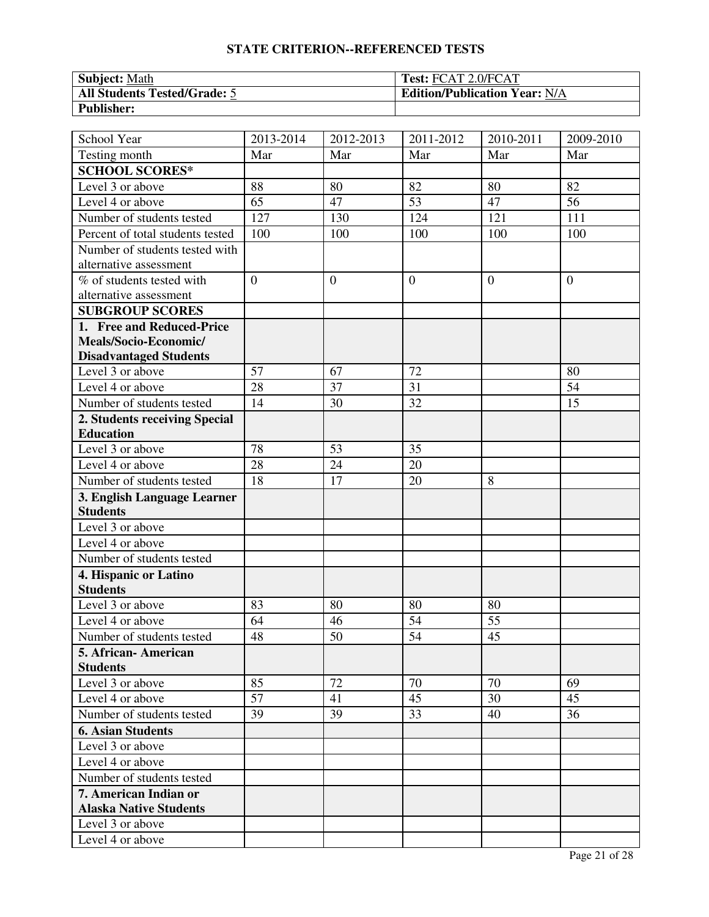| <b>Subject: Math</b>         | <b>Test: FCAT 2.0/FCAT</b>           |
|------------------------------|--------------------------------------|
| All Students Tested/Grade: 5 | <b>Edition/Publication Year: N/A</b> |
| <b>Publisher:</b>            |                                      |

| School Year                      | 2013-2014      | 2012-2013        | $\overline{2011}$ -2012 | 2010-2011 | 2009-2010      |
|----------------------------------|----------------|------------------|-------------------------|-----------|----------------|
| Testing month                    | Mar            | Mar              | Mar                     | Mar       | Mar            |
| <b>SCHOOL SCORES*</b>            |                |                  |                         |           |                |
| Level 3 or above                 | 88             | 80               | 82                      | 80        | 82             |
| Level 4 or above                 | 65             | 47               | 53                      | 47        | 56             |
| Number of students tested        | 127            | 130              | 124                     | 121       | 111            |
| Percent of total students tested | 100            | 100              | 100                     | 100       | 100            |
| Number of students tested with   |                |                  |                         |           |                |
| alternative assessment           |                |                  |                         |           |                |
| % of students tested with        | $\overline{0}$ | $\boldsymbol{0}$ | $\boldsymbol{0}$        | $\theta$  | $\overline{0}$ |
| alternative assessment           |                |                  |                         |           |                |
| <b>SUBGROUP SCORES</b>           |                |                  |                         |           |                |
| 1. Free and Reduced-Price        |                |                  |                         |           |                |
| Meals/Socio-Economic/            |                |                  |                         |           |                |
| <b>Disadvantaged Students</b>    |                |                  |                         |           |                |
| Level 3 or above                 | 57             | 67               | 72                      |           | 80             |
| Level 4 or above                 | 28             | 37               | 31                      |           | 54             |
| Number of students tested        | 14             | 30               | 32                      |           | 15             |
| 2. Students receiving Special    |                |                  |                         |           |                |
| <b>Education</b>                 |                |                  |                         |           |                |
| Level 3 or above                 | 78             | 53               | 35                      |           |                |
| Level 4 or above                 | 28             | 24               | 20                      |           |                |
| Number of students tested        | 18             | 17               | 20                      | 8         |                |
| 3. English Language Learner      |                |                  |                         |           |                |
| <b>Students</b>                  |                |                  |                         |           |                |
| Level 3 or above                 |                |                  |                         |           |                |
| Level 4 or above                 |                |                  |                         |           |                |
| Number of students tested        |                |                  |                         |           |                |
| 4. Hispanic or Latino            |                |                  |                         |           |                |
| <b>Students</b>                  |                |                  |                         |           |                |
| Level 3 or above                 | 83             | 80               | 80                      | 80        |                |
| Level 4 or above                 | 64             | 46               | 54                      | 55        |                |
| Number of students tested        | 48             | $\overline{50}$  | $\overline{54}$         | 45        |                |
| 5. African - American            |                |                  |                         |           |                |
| <b>Students</b>                  |                |                  |                         |           |                |
| Level 3 or above                 | 85             | 72               | 70                      | 70        | 69             |
| Level 4 or above                 | 57             | 41               | 45                      | 30        | 45             |
| Number of students tested        | 39             | 39               | 33                      | 40        | 36             |
| <b>6. Asian Students</b>         |                |                  |                         |           |                |
| Level 3 or above                 |                |                  |                         |           |                |
| Level 4 or above                 |                |                  |                         |           |                |
| Number of students tested        |                |                  |                         |           |                |
| 7. American Indian or            |                |                  |                         |           |                |
| <b>Alaska Native Students</b>    |                |                  |                         |           |                |
| Level 3 or above                 |                |                  |                         |           |                |
| Level 4 or above                 |                |                  |                         |           |                |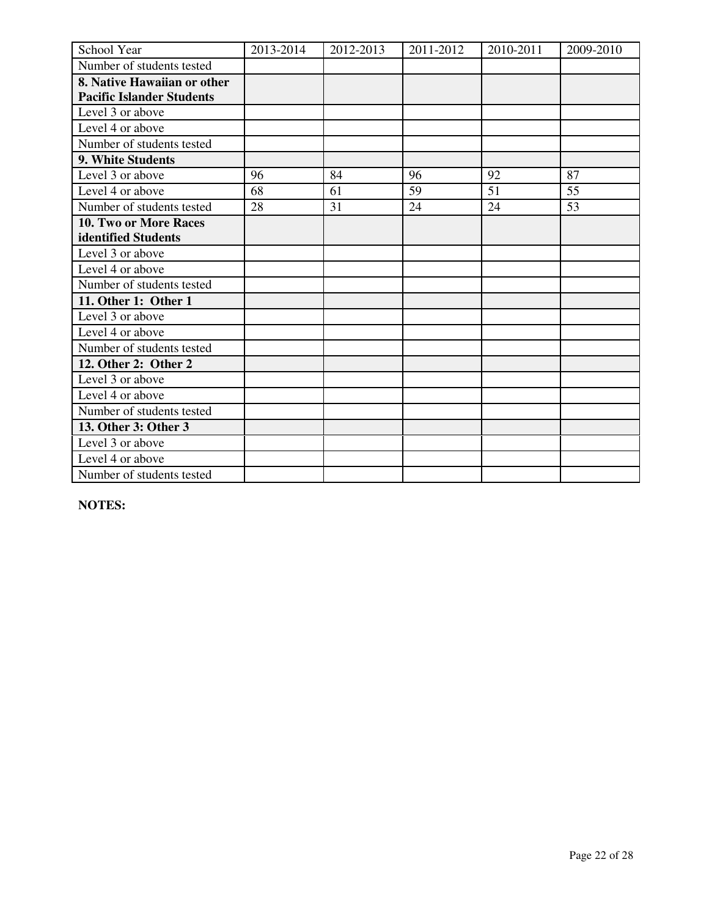| School Year                      | 2013-2014 | 2012-2013 | 2011-2012 | 2010-2011 | 2009-2010 |
|----------------------------------|-----------|-----------|-----------|-----------|-----------|
| Number of students tested        |           |           |           |           |           |
| 8. Native Hawaiian or other      |           |           |           |           |           |
| <b>Pacific Islander Students</b> |           |           |           |           |           |
| Level 3 or above                 |           |           |           |           |           |
| Level 4 or above                 |           |           |           |           |           |
| Number of students tested        |           |           |           |           |           |
| 9. White Students                |           |           |           |           |           |
| Level 3 or above                 | 96        | 84        | 96        | 92        | 87        |
| Level 4 or above                 | 68        | 61        | 59        | 51        | 55        |
| Number of students tested        | 28        | 31        | 24        | 24        | 53        |
| 10. Two or More Races            |           |           |           |           |           |
| identified Students              |           |           |           |           |           |
| Level 3 or above                 |           |           |           |           |           |
| Level 4 or above                 |           |           |           |           |           |
| Number of students tested        |           |           |           |           |           |
| 11. Other 1: Other 1             |           |           |           |           |           |
| Level 3 or above                 |           |           |           |           |           |
| Level 4 or above                 |           |           |           |           |           |
| Number of students tested        |           |           |           |           |           |
| 12. Other 2: Other 2             |           |           |           |           |           |
| Level 3 or above                 |           |           |           |           |           |
| Level 4 or above                 |           |           |           |           |           |
| Number of students tested        |           |           |           |           |           |
| 13. Other 3: Other 3             |           |           |           |           |           |
| Level 3 or above                 |           |           |           |           |           |
| Level 4 or above                 |           |           |           |           |           |
| Number of students tested        |           |           |           |           |           |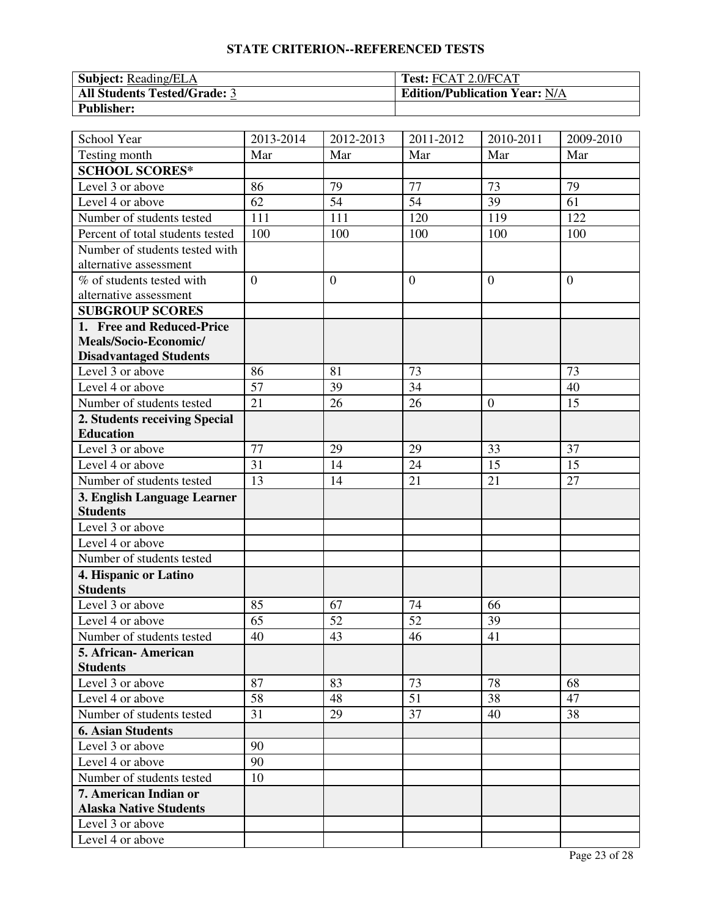| Subject: Reading/ELA                | <b>Test: FCAT 2.0/FCAT</b>           |
|-------------------------------------|--------------------------------------|
| <b>All Students Tested/Grade: 3</b> | <b>Edition/Publication Year: N/A</b> |
| <b>Publisher:</b>                   |                                      |

| School Year                      | 2013-2014      | 2012-2013    | 2011-2012      | 2010-2011        | 2009-2010      |
|----------------------------------|----------------|--------------|----------------|------------------|----------------|
| Testing month                    | Mar            | Mar          | Mar            | Mar              | Mar            |
| <b>SCHOOL SCORES*</b>            |                |              |                |                  |                |
| Level 3 or above                 | 86             | 79           | 77             | 73               | 79             |
| Level 4 or above                 | 62             | 54           | 54             | 39               | 61             |
| Number of students tested        | 111            | 111          | 120            | 119              | 122            |
| Percent of total students tested | 100            | 100          | 100            | 100              | 100            |
| Number of students tested with   |                |              |                |                  |                |
| alternative assessment           |                |              |                |                  |                |
| % of students tested with        | $\overline{0}$ | $\mathbf{0}$ | $\overline{0}$ | $\theta$         | $\overline{0}$ |
| alternative assessment           |                |              |                |                  |                |
| <b>SUBGROUP SCORES</b>           |                |              |                |                  |                |
| 1. Free and Reduced-Price        |                |              |                |                  |                |
| Meals/Socio-Economic/            |                |              |                |                  |                |
| <b>Disadvantaged Students</b>    |                |              |                |                  |                |
| Level 3 or above                 | 86             | 81           | 73             |                  | 73             |
| Level 4 or above                 | 57             | 39           | 34             |                  | 40             |
| Number of students tested        | 21             | 26           | 26             | $\boldsymbol{0}$ | 15             |
| 2. Students receiving Special    |                |              |                |                  |                |
| <b>Education</b>                 |                |              |                |                  |                |
| Level 3 or above                 | 77             | 29           | 29             | 33               | 37             |
| Level 4 or above                 | 31             | 14           | 24             | 15               | 15             |
| Number of students tested        | 13             | 14           | 21             | 21               | 27             |
| 3. English Language Learner      |                |              |                |                  |                |
| <b>Students</b>                  |                |              |                |                  |                |
| Level 3 or above                 |                |              |                |                  |                |
| Level 4 or above                 |                |              |                |                  |                |
| Number of students tested        |                |              |                |                  |                |
| 4. Hispanic or Latino            |                |              |                |                  |                |
| <b>Students</b>                  |                |              |                |                  |                |
| Level 3 or above                 | 85             | 67           | 74             | 66               |                |
| Level 4 or above                 | 65             | 52           | 52             | 39               |                |
| Number of students tested        | 40             | 43           | 46             | 41               |                |
| 5. African-American              |                |              |                |                  |                |
| <b>Students</b>                  |                |              |                |                  |                |
| Level 3 or above                 | 87             | 83           | 73             | 78               | 68             |
| Level 4 or above                 | 58             | 48           | 51             | 38               | 47             |
| Number of students tested        | 31             | 29           | 37             | 40               | 38             |
| <b>6. Asian Students</b>         |                |              |                |                  |                |
| Level 3 or above                 | 90             |              |                |                  |                |
| Level 4 or above                 | 90             |              |                |                  |                |
| Number of students tested        | 10             |              |                |                  |                |
| 7. American Indian or            |                |              |                |                  |                |
| <b>Alaska Native Students</b>    |                |              |                |                  |                |
| Level 3 or above                 |                |              |                |                  |                |
| Level 4 or above                 |                |              |                |                  |                |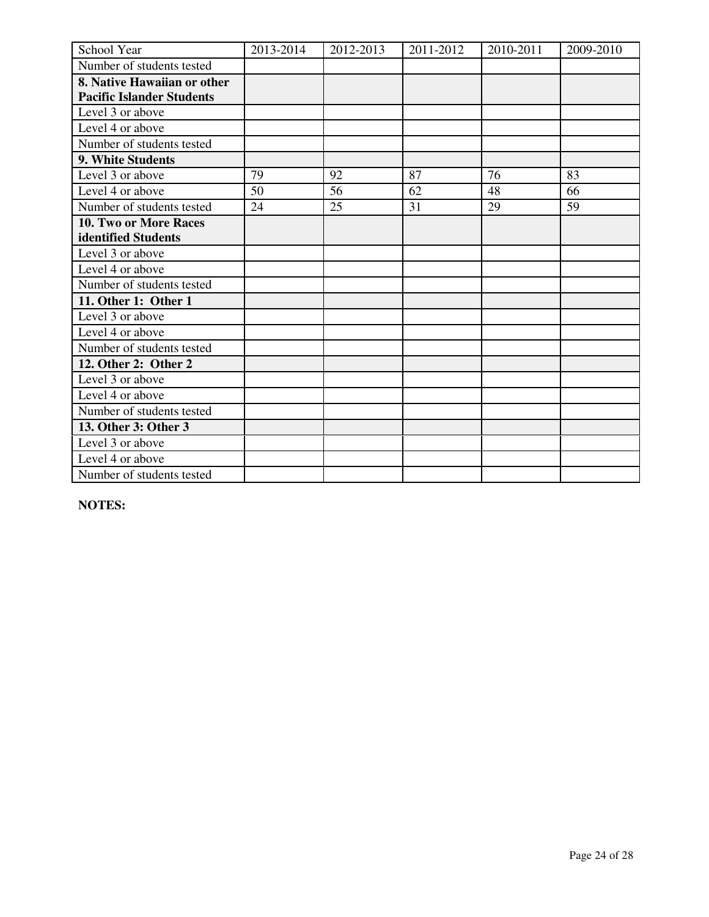| School Year                      | 2013-2014 | 2012-2013 | 2011-2012 | 2010-2011 | 2009-2010 |
|----------------------------------|-----------|-----------|-----------|-----------|-----------|
| Number of students tested        |           |           |           |           |           |
| 8. Native Hawaiian or other      |           |           |           |           |           |
| <b>Pacific Islander Students</b> |           |           |           |           |           |
| Level 3 or above                 |           |           |           |           |           |
| Level 4 or above                 |           |           |           |           |           |
| Number of students tested        |           |           |           |           |           |
| 9. White Students                |           |           |           |           |           |
| Level 3 or above                 | 79        | 92        | 87        | 76        | 83        |
| Level 4 or above                 | 50        | 56        | 62        | 48        | 66        |
| Number of students tested        | 24        | 25        | 31        | 29        | 59        |
| 10. Two or More Races            |           |           |           |           |           |
| identified Students              |           |           |           |           |           |
| Level 3 or above                 |           |           |           |           |           |
| Level 4 or above                 |           |           |           |           |           |
| Number of students tested        |           |           |           |           |           |
| 11. Other 1: Other 1             |           |           |           |           |           |
| Level 3 or above                 |           |           |           |           |           |
| Level 4 or above                 |           |           |           |           |           |
| Number of students tested        |           |           |           |           |           |
| 12. Other 2: Other 2             |           |           |           |           |           |
| Level 3 or above                 |           |           |           |           |           |
| Level 4 or above                 |           |           |           |           |           |
| Number of students tested        |           |           |           |           |           |
| 13. Other 3: Other 3             |           |           |           |           |           |
| Level 3 or above                 |           |           |           |           |           |
| Level 4 or above                 |           |           |           |           |           |
| Number of students tested        |           |           |           |           |           |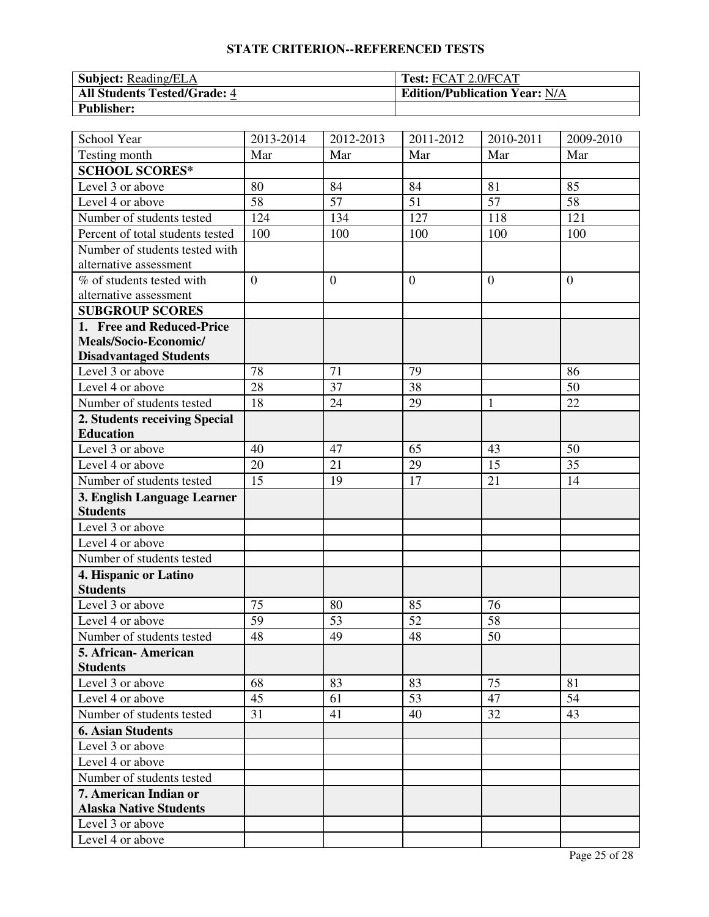| <b>Subject:</b> Reading/ELA  | <b>Test: FCAT 2.0/FCAT</b>           |
|------------------------------|--------------------------------------|
| All Students Tested/Grade: 4 | <b>Edition/Publication Year: N/A</b> |
| <b>Publisher:</b>            |                                      |

| School Year                      | 2013-2014      | 2012-2013    | 2011-2012      | 2010-2011      | 2009-2010      |
|----------------------------------|----------------|--------------|----------------|----------------|----------------|
| Testing month                    | Mar            | Mar          | Mar            | Mar            | Mar            |
| <b>SCHOOL SCORES*</b>            |                |              |                |                |                |
| Level 3 or above                 | 80             | 84           | 84             | 81             | 85             |
| Level 4 or above                 | 58             | 57           | 51             | 57             | 58             |
| Number of students tested        | 124            | 134          | 127            | 118            | 121            |
| Percent of total students tested | 100            | 100          | 100            | 100            | 100            |
| Number of students tested with   |                |              |                |                |                |
| alternative assessment           |                |              |                |                |                |
| % of students tested with        | $\overline{0}$ | $\mathbf{0}$ | $\overline{0}$ | $\overline{0}$ | $\overline{0}$ |
| alternative assessment           |                |              |                |                |                |
| <b>SUBGROUP SCORES</b>           |                |              |                |                |                |
| 1. Free and Reduced-Price        |                |              |                |                |                |
| Meals/Socio-Economic/            |                |              |                |                |                |
| <b>Disadvantaged Students</b>    |                |              |                |                |                |
| Level 3 or above                 | 78             | 71           | 79             |                | 86             |
| Level 4 or above                 | 28             | 37           | 38             |                | 50             |
| Number of students tested        | 18             | 24           | 29             | 1              | 22             |
| 2. Students receiving Special    |                |              |                |                |                |
| <b>Education</b>                 |                |              |                |                |                |
| Level 3 or above                 | 40             | 47           | 65             | 43             | 50             |
| Level 4 or above                 | 20             | 21           | 29             | 15             | 35             |
| Number of students tested        | 15             | 19           | 17             | 21             | 14             |
| 3. English Language Learner      |                |              |                |                |                |
| <b>Students</b>                  |                |              |                |                |                |
| Level 3 or above                 |                |              |                |                |                |
| Level 4 or above                 |                |              |                |                |                |
| Number of students tested        |                |              |                |                |                |
| 4. Hispanic or Latino            |                |              |                |                |                |
| <b>Students</b>                  |                |              |                |                |                |
| Level 3 or above                 | 75             | 80           | 85             | 76             |                |
| Level 4 or above                 | 59             | 53           | 52             | 58             |                |
| Number of students tested        | 48             | 49           | 48             | 50             |                |
| 5. African- American             |                |              |                |                |                |
| <b>Students</b>                  |                |              |                |                |                |
| Level 3 or above                 | 68             | 83           | 83             | 75             | 81             |
| Level 4 or above                 | 45             | 61           | 53             | 47             | 54             |
| Number of students tested        | 31             | 41           | 40             | 32             | 43             |
| <b>6. Asian Students</b>         |                |              |                |                |                |
| Level 3 or above                 |                |              |                |                |                |
| Level 4 or above                 |                |              |                |                |                |
| Number of students tested        |                |              |                |                |                |
| 7. American Indian or            |                |              |                |                |                |
| <b>Alaska Native Students</b>    |                |              |                |                |                |
| Level 3 or above                 |                |              |                |                |                |
| Level 4 or above                 |                |              |                |                |                |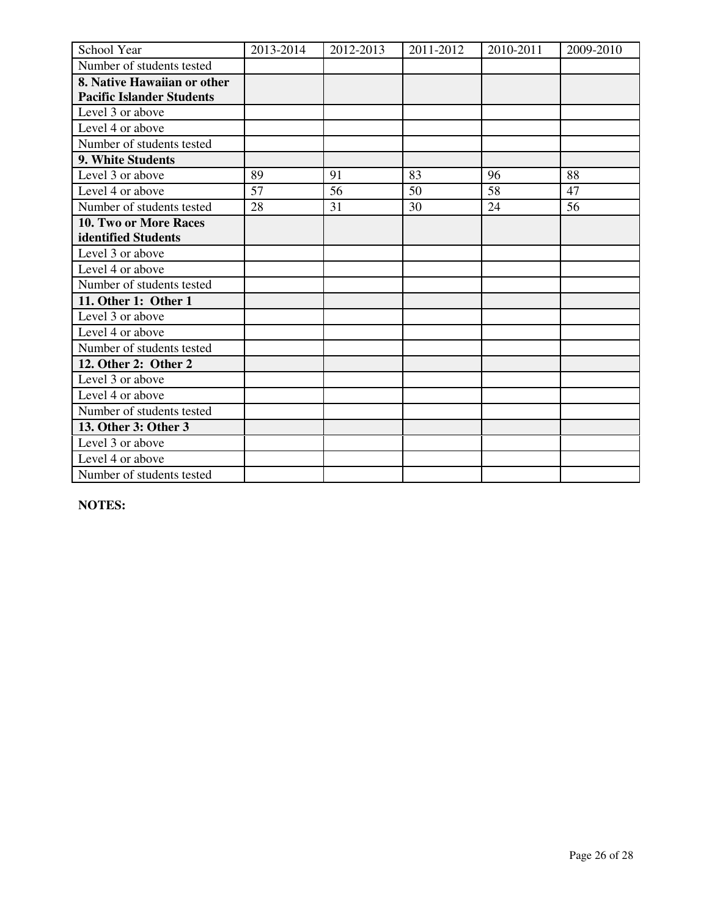| School Year                      | 2013-2014 | 2012-2013 | 2011-2012 | 2010-2011 | 2009-2010 |
|----------------------------------|-----------|-----------|-----------|-----------|-----------|
| Number of students tested        |           |           |           |           |           |
| 8. Native Hawaiian or other      |           |           |           |           |           |
| <b>Pacific Islander Students</b> |           |           |           |           |           |
| Level 3 or above                 |           |           |           |           |           |
| Level 4 or above                 |           |           |           |           |           |
| Number of students tested        |           |           |           |           |           |
| 9. White Students                |           |           |           |           |           |
| Level 3 or above                 | 89        | 91        | 83        | 96        | 88        |
| Level 4 or above                 | 57        | 56        | 50        | 58        | 47        |
| Number of students tested        | 28        | 31        | 30        | 24        | 56        |
| <b>10. Two or More Races</b>     |           |           |           |           |           |
| identified Students              |           |           |           |           |           |
| Level 3 or above                 |           |           |           |           |           |
| Level 4 or above                 |           |           |           |           |           |
| Number of students tested        |           |           |           |           |           |
| 11. Other 1: Other 1             |           |           |           |           |           |
| Level 3 or above                 |           |           |           |           |           |
| Level 4 or above                 |           |           |           |           |           |
| Number of students tested        |           |           |           |           |           |
| 12. Other 2: Other 2             |           |           |           |           |           |
| Level 3 or above                 |           |           |           |           |           |
| Level 4 or above                 |           |           |           |           |           |
| Number of students tested        |           |           |           |           |           |
| 13. Other 3: Other 3             |           |           |           |           |           |
| Level 3 or above                 |           |           |           |           |           |
| Level 4 or above                 |           |           |           |           |           |
| Number of students tested        |           |           |           |           |           |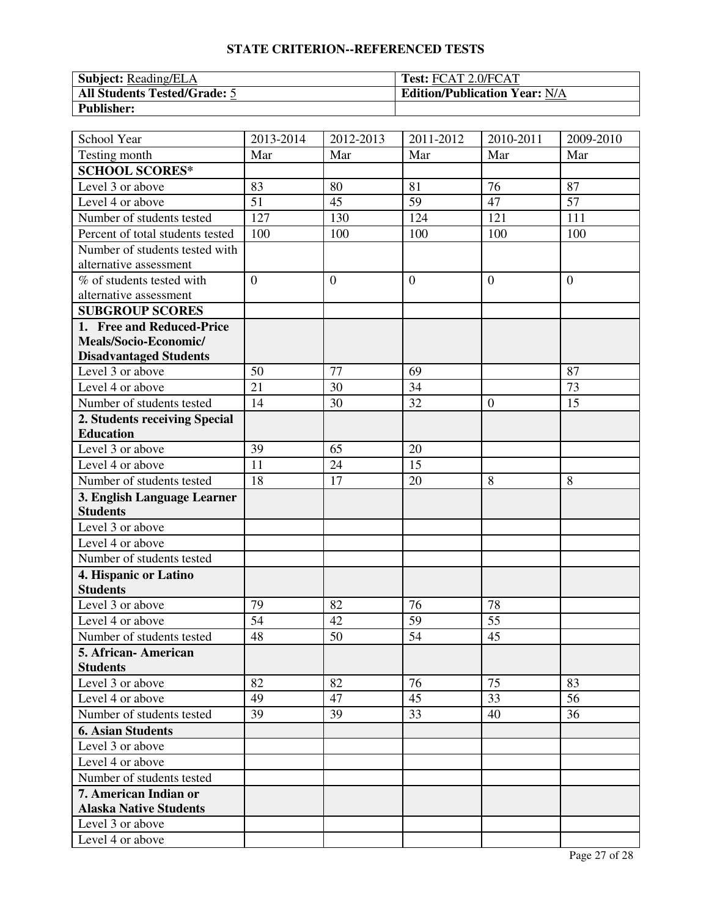| Subject: Reading/ELA                | <b>Test: FCAT 2.0/FCAT</b>           |
|-------------------------------------|--------------------------------------|
| <b>All Students Tested/Grade: 5</b> | <b>Edition/Publication Year: N/A</b> |
| <b>Publisher:</b>                   |                                      |

| School Year                      | 2013-2014      | 2012-2013    | 2011-2012      | 2010-2011      | 2009-2010      |
|----------------------------------|----------------|--------------|----------------|----------------|----------------|
| Testing month                    | Mar            | Mar          | Mar            | Mar            | Mar            |
| <b>SCHOOL SCORES*</b>            |                |              |                |                |                |
| Level 3 or above                 | 83             | 80           | 81             | 76             | 87             |
| Level 4 or above                 | 51             | 45           | 59             | 47             | 57             |
| Number of students tested        | 127            | 130          | 124            | 121            | 111            |
| Percent of total students tested | 100            | 100          | 100            | 100            | 100            |
| Number of students tested with   |                |              |                |                |                |
| alternative assessment           |                |              |                |                |                |
| % of students tested with        | $\overline{0}$ | $\mathbf{0}$ | $\overline{0}$ | $\overline{0}$ | $\overline{0}$ |
| alternative assessment           |                |              |                |                |                |
| <b>SUBGROUP SCORES</b>           |                |              |                |                |                |
| 1. Free and Reduced-Price        |                |              |                |                |                |
| Meals/Socio-Economic/            |                |              |                |                |                |
| <b>Disadvantaged Students</b>    |                |              |                |                |                |
| Level 3 or above                 | 50             | 77           | 69             |                | 87             |
| Level 4 or above                 | 21             | 30           | 34             |                | 73             |
| Number of students tested        | 14             | 30           | 32             | $\overline{0}$ | 15             |
| 2. Students receiving Special    |                |              |                |                |                |
| <b>Education</b>                 |                |              |                |                |                |
| Level 3 or above                 | 39             | 65           | 20             |                |                |
| Level 4 or above                 | 11             | 24           | 15             |                |                |
| Number of students tested        | 18             | 17           | 20             | 8              | 8              |
| 3. English Language Learner      |                |              |                |                |                |
| <b>Students</b>                  |                |              |                |                |                |
| Level 3 or above                 |                |              |                |                |                |
| Level 4 or above                 |                |              |                |                |                |
| Number of students tested        |                |              |                |                |                |
| 4. Hispanic or Latino            |                |              |                |                |                |
| <b>Students</b>                  |                |              |                |                |                |
| Level 3 or above                 | 79             | 82           | 76             | 78             |                |
| Level 4 or above                 | 54             | 42           | 59             | 55             |                |
| Number of students tested        | 48             | 50           | 54             | 45             |                |
| 5. African- American             |                |              |                |                |                |
| <b>Students</b>                  |                |              |                |                |                |
| Level 3 or above                 | 82             | 82           | 76             | 75             | 83             |
| Level 4 or above                 | 49             | 47           | 45             | 33             | 56             |
| Number of students tested        | 39             | 39           | 33             | 40             | 36             |
| <b>6. Asian Students</b>         |                |              |                |                |                |
| Level 3 or above                 |                |              |                |                |                |
| Level 4 or above                 |                |              |                |                |                |
| Number of students tested        |                |              |                |                |                |
| 7. American Indian or            |                |              |                |                |                |
| <b>Alaska Native Students</b>    |                |              |                |                |                |
| Level 3 or above                 |                |              |                |                |                |
| Level 4 or above                 |                |              |                |                |                |